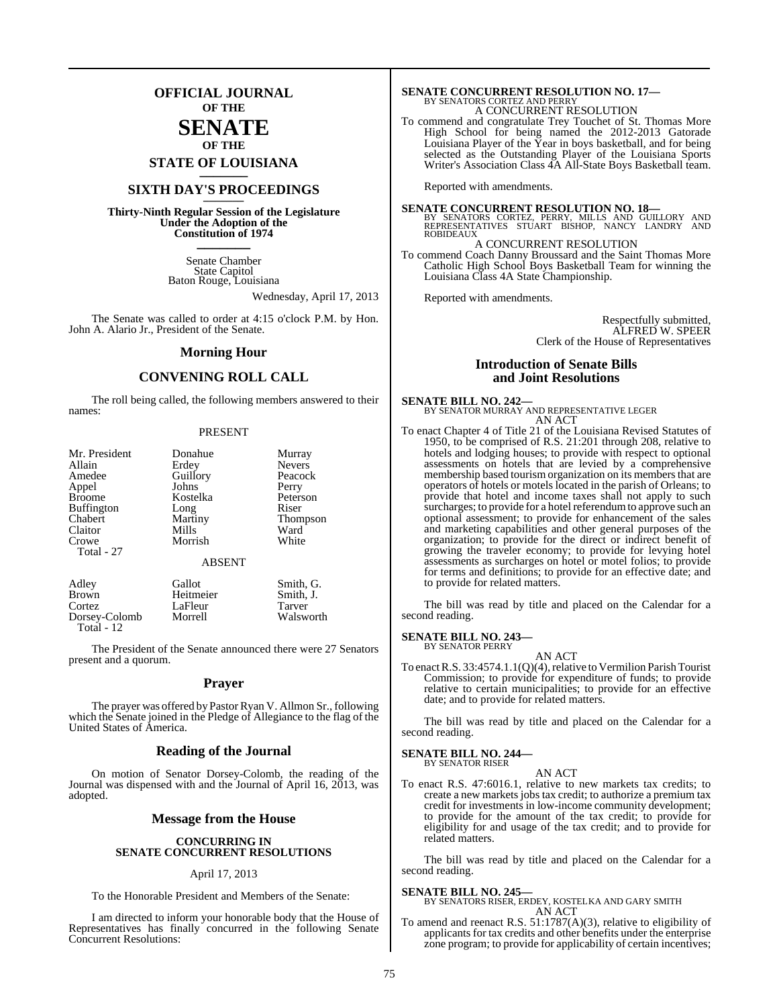## **OFFICIAL JOURNAL OF THE**

## **SENATE OF THE**

**STATE OF LOUISIANA \_\_\_\_\_\_\_**

## **SIXTH DAY'S PROCEEDINGS \_\_\_\_\_\_\_**

**Thirty-Ninth Regular Session of the Legislature Under the Adoption of the Constitution of 1974 \_\_\_\_\_\_\_**

> Senate Chamber State Capitol Baton Rouge, Louisiana

> > Wednesday, April 17, 2013

The Senate was called to order at 4:15 o'clock P.M. by Hon. John A. Alario Jr., President of the Senate.

#### **Morning Hour**

## **CONVENING ROLL CALL**

The roll being called, the following members answered to their names:

#### PRESENT

| Mr. President       | Donahue                  | Murray          |
|---------------------|--------------------------|-----------------|
| Allain              | Erdey                    | <b>Nevers</b>   |
| Amedee              | Guillory                 | Peacock         |
| Appel               | Johns                    | Perry           |
| <b>Broome</b>       | Kostelka                 | Peterson        |
| <b>Buffington</b>   | Long                     | Riser           |
| Chabert             | Martiny                  | <b>Thompson</b> |
| Claitor             | Mills                    | Ward            |
| Crowe<br>Total - 27 | Morrish<br><b>ABSENT</b> | White           |
| Adley               | Gallot                   | Smith, G.       |
| Brown               | Heitmeier                | Smith. J.       |

Cortez LaFleur Tarver<br>
Dorsey-Colomb Morrell Walsworth Dorsey-Colomb Total - 12

The President of the Senate announced there were 27 Senators present and a quorum.

#### **Prayer**

The prayer was offered by Pastor Ryan V. Allmon Sr., following which the Senate joined in the Pledge of Allegiance to the flag of the United States of America.

#### **Reading of the Journal**

On motion of Senator Dorsey-Colomb, the reading of the Journal was dispensed with and the Journal of April 16, 2013, was adopted.

#### **Message from the House**

#### **CONCURRING IN SENATE CONCURRENT RESOLUTIONS**

#### April 17, 2013

To the Honorable President and Members of the Senate:

I am directed to inform your honorable body that the House of Representatives has finally concurred in the following Senate Concurrent Resolutions:

# **SENATE CONCURRENT RESOLUTION NO. 17—**<br>BY SENATORS CORTEZ AND PERRY<br>A CONCURRENT RESOLUTION

To commend and congratulate Trey Touchet of St. Thomas More High School for being named the 2012-2013 Gatorade Louisiana Player of the Year in boys basketball, and for being selected as the Outstanding Player of the Louisiana Sports Writer's Association Class 4A All-State Boys Basketball team.

Reported with amendments.

**SENATE CONCURRENT RESOLUTION NO. 18—**<br>BY SENATORS CORTEZ, PERRY, MILLS AND GUILLORY AND<br>REPRESENTATIVES STUART BISHOP, NANCY LANDRY AND ROBIDEAUX

A CONCURRENT RESOLUTION

To commend Coach Danny Broussard and the Saint Thomas More Catholic High School Boys Basketball Team for winning the Louisiana Class 4A State Championship.

Reported with amendments.

Respectfully submitted, ALFRED W. SPEER Clerk of the House of Representatives

#### **Introduction of Senate Bills and Joint Resolutions**

#### **SENATE BILL NO. 242—**

BY SENATOR MURRAY AND REPRESENTATIVE LEGER AN ACT

To enact Chapter 4 of Title 21 of the Louisiana Revised Statutes of 1950, to be comprised of R.S. 21:201 through 208, relative to hotels and lodging houses; to provide with respect to optional assessments on hotels that are levied by a comprehensive membership based tourism organization on its members that are operators of hotels or motels located in the parish of Orleans; to provide that hotel and income taxes shall not apply to such surcharges; to provide for a hotel referendum to approve such an optional assessment; to provide for enhancement of the sales and marketing capabilities and other general purposes of the organization; to provide for the direct or indirect benefit of growing the traveler economy; to provide for levying hotel assessments as surcharges on hotel or motel folios; to provide for terms and definitions; to provide for an effective date; and to provide for related matters.

The bill was read by title and placed on the Calendar for a second reading.

### **SENATE BILL NO. 243—**

BY SENATOR PERRY AN ACT

To enact R.S. 33:4574.1.1(Q)(4), relative to Vermilion Parish Tourist Commission; to provide for expenditure of funds; to provide relative to certain municipalities; to provide for an effective date; and to provide for related matters.

The bill was read by title and placed on the Calendar for a second reading.

#### **SENATE BILL NO. 244—**

BY SENATOR RISER AN ACT

To enact R.S. 47:6016.1, relative to new markets tax credits; to create a new markets jobs tax credit; to authorize a premium tax credit for investments in low-income community development; to provide for the amount of the tax credit; to provide for eligibility for and usage of the tax credit; and to provide for related matters.

The bill was read by title and placed on the Calendar for a second reading.

#### **SENATE BILL NO. 245—**

BY SENATORS RISER, ERDEY, KOSTELKA AND GARY SMITH AN ACT

To amend and reenact R.S. 51:1787(A)(3), relative to eligibility of applicants for tax credits and other benefits under the enterprise zone program; to provide for applicability of certain incentives;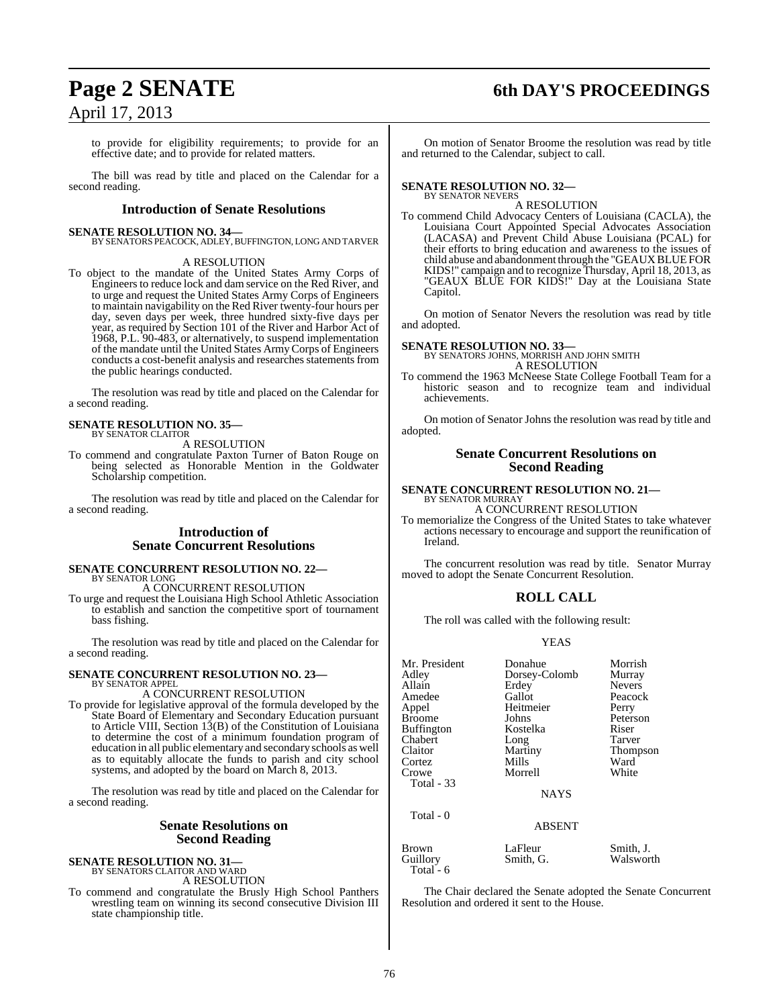## **Page 2 SENATE 6th DAY'S PROCEEDINGS**

to provide for eligibility requirements; to provide for an effective date; and to provide for related matters.

The bill was read by title and placed on the Calendar for a second reading.

#### **Introduction of Senate Resolutions**

**SENATE RESOLUTION NO. 34—** BY SENATORS PEACOCK, ADLEY, BUFFINGTON, LONG AND TARVER

#### A RESOLUTION

To object to the mandate of the United States Army Corps of Engineers to reduce lock and dam service on the Red River, and to urge and request the United States Army Corps of Engineers to maintain navigability on the Red River twenty-four hours per day, seven days per week, three hundred sixty-five days per year, as required by Section 101 of the River and Harbor Act of 1968, P.L. 90-483, or alternatively, to suspend implementation of the mandate until the United States ArmyCorps of Engineers conducts a cost-benefit analysis and researches statements from the public hearings conducted.

The resolution was read by title and placed on the Calendar for a second reading.

#### **SENATE RESOLUTION NO. 35—** BY SENATOR CLAITOR

A RESOLUTION

To commend and congratulate Paxton Turner of Baton Rouge on being selected as Honorable Mention in the Goldwater Scholarship competition.

The resolution was read by title and placed on the Calendar for a second reading.

#### **Introduction of Senate Concurrent Resolutions**

#### **SENATE CONCURRENT RESOLUTION NO. 22—** BY SENATOR LONG

A CONCURRENT RESOLUTION

To urge and request the Louisiana High School Athletic Association to establish and sanction the competitive sport of tournament bass fishing.

The resolution was read by title and placed on the Calendar for a second reading.

#### **SENATE CONCURRENT RESOLUTION NO. 23—** BY SENATOR APPEL

## A CONCURRENT RESOLUTION

To provide for legislative approval of the formula developed by the State Board of Elementary and Secondary Education pursuant to Article VIII, Section 13(B) of the Constitution of Louisiana to determine the cost of a minimum foundation program of education in all public elementary and secondary schools as well as to equitably allocate the funds to parish and city school systems, and adopted by the board on March 8, 2013.

The resolution was read by title and placed on the Calendar for a second reading.

#### **Senate Resolutions on Second Reading**

**SENATE RESOLUTION NO. 31—** BY SENATORS CLAITOR AND WARD A RESOLUTION

To commend and congratulate the Brusly High School Panthers wrestling team on winning its second consecutive Division III state championship title.

On motion of Senator Broome the resolution was read by title and returned to the Calendar, subject to call.

#### **SENATE RESOLUTION NO. 32—** BY SENATOR NEVERS

A RESOLUTION

To commend Child Advocacy Centers of Louisiana (CACLA), the Louisiana Court Appointed Special Advocates Association (LACASA) and Prevent Child Abuse Louisiana (PCAL) for their efforts to bring education and awareness to the issues of child abuse and abandonment through the "GEAUX BLUE FOR KIDS!" campaign and to recognize Thursday, April 18, 2013, as "GEAUX BLUE FOR KIDS!" Day at the Louisiana State Capitol.

On motion of Senator Nevers the resolution was read by title and adopted.

## **SENATE RESOLUTION NO. 33—** BY SENATORS JOHNS, MORRISH AND JOHN SMITH

A RESOLUTION

To commend the 1963 McNeese State College Football Team for a historic season and to recognize team and individual achievements.

On motion of Senator Johns the resolution was read by title and adopted.

#### **Senate Concurrent Resolutions on Second Reading**

#### **SENATE CONCURRENT RESOLUTION NO. 21—** BY SENATOR MURRAY

A CONCURRENT RESOLUTION

To memorialize the Congress of the United States to take whatever actions necessary to encourage and support the reunification of Ireland.

The concurrent resolution was read by title. Senator Murray moved to adopt the Senate Concurrent Resolution.

#### **ROLL CALL**

The roll was called with the following result:

#### YEAS

| Mr. President     | Donahue       | Morrish       |
|-------------------|---------------|---------------|
| Adley             | Dorsey-Colomb | Murray        |
| Allain            | Erdey         | <b>Nevers</b> |
| Amedee            | Gallot        | Peacock       |
| Appel             | Heitmeier     | Perry         |
| <b>Broome</b>     | Johns         | Peterson      |
| <b>Buffington</b> | Kostelka      | Riser         |
| Chabert           | Long          | Tarver        |
| Claitor           | Martiny       | Thompson      |
| Cortez            | Mills         | Ward          |
| Crowe             | Morrell       | White         |
| <b>Total - 33</b> |               |               |
|                   | <b>NAYS</b>   |               |
| Total - 0         |               |               |
|                   | <b>ABSENT</b> |               |
| Brown             | LaFleur       | Smith, J.     |
| Guillory          | Smith, G.     | Walsworth     |

The Chair declared the Senate adopted the Senate Concurrent Resolution and ordered it sent to the House.

Total - 6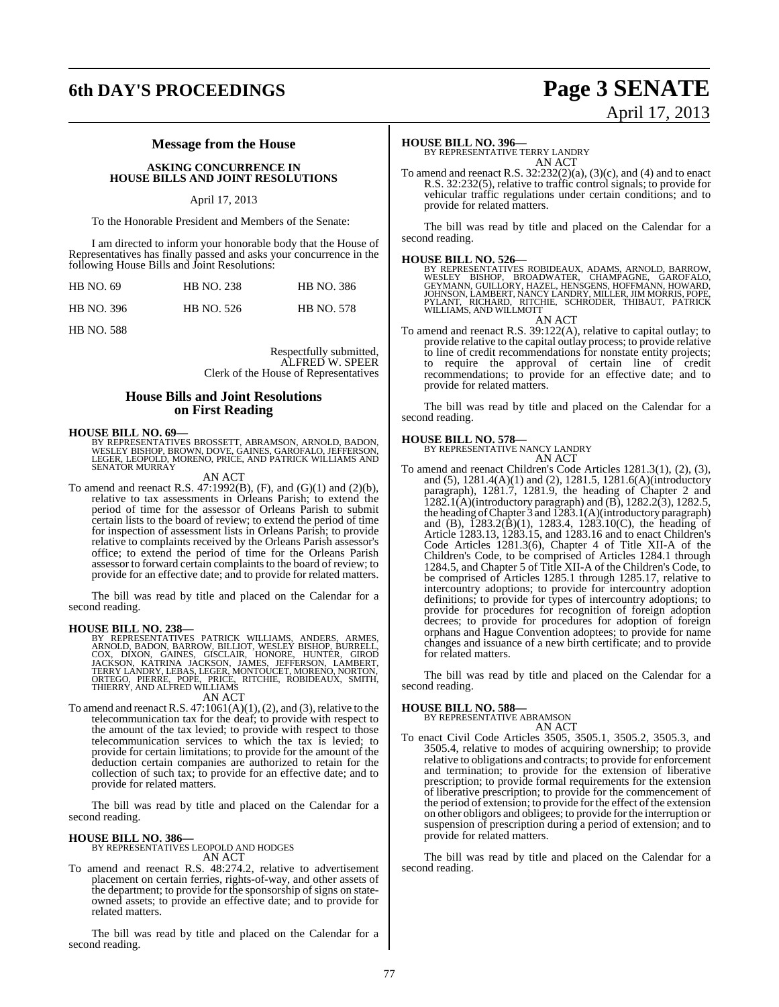# **6th DAY'S PROCEEDINGS Page 3 SENATE**

#### **Message from the House**

#### **ASKING CONCURRENCE IN HOUSE BILLS AND JOINT RESOLUTIONS**

#### April 17, 2013

To the Honorable President and Members of the Senate:

I am directed to inform your honorable body that the House of Representatives has finally passed and asks your concurrence in the following House Bills and Joint Resolutions:

| <b>HB</b> NO. 69  | <b>HB NO. 238</b> | <b>HB NO. 386</b> |
|-------------------|-------------------|-------------------|
| <b>HB NO. 396</b> | HB NO. 526        | <b>HB NO. 578</b> |

HB NO. 588

Respectfully submitted, ALFRED W. SPEER Clerk of the House of Representatives

#### **House Bills and Joint Resolutions on First Reading**

#### **HOUSE BILL NO. 69—**

BY REPRESENTATIVES BROSSETT, ABRAMSON, ARNOLD, BADON,<br>WESLEY BISHOP, BROWN, DOVE, GAINES, GAROFALO, JEFFERSON,<br>LEGER, LEOPOLD, MORENO, PRICE, AND PATRICK WILLIAMS AND SENATOR MURRAY

#### AN ACT

To amend and reenact R.S. 47:1992(B), (F), and (G)(1) and (2)(b), relative to tax assessments in Orleans Parish; to extend the period of time for the assessor of Orleans Parish to submit certain lists to the board of review; to extend the period of time for inspection of assessment lists in Orleans Parish; to provide relative to complaints received by the Orleans Parish assessor's office; to extend the period of time for the Orleans Parish assessor to forward certain complaints to the board of review; to provide for an effective date; and to provide for related matters.

The bill was read by title and placed on the Calendar for a second reading.

#### **HOUSE BILL NO. 238—**

BY REPRESENTATIVES PATRICK WILLIAMS, ANDERS, ARMES,<br>ARNOLD, BADON, BARROW, BILLIOT, WESLEY BISHOP, BURRELL,<br>COX, DIXON, GAINES, GISCLAIR, HONORE, HUNTER, GIROD<br>JACKSON, KATRINA JACKSON, JAMES, JEFFERSON, LAMBERT,<br>TERRY LAN AN ACT

To amend and reenact R.S.  $47:1061(A)(1)$ ,  $(2)$ , and  $(3)$ , relative to the telecommunication tax for the deaf; to provide with respect to the amount of the tax levied; to provide with respect to those telecommunication services to which the tax is levied; to provide for certain limitations; to provide for the amount of the deduction certain companies are authorized to retain for the collection of such tax; to provide for an effective date; and to provide for related matters.

The bill was read by title and placed on the Calendar for a second reading.

## **HOUSE BILL NO. 386—** BY REPRESENTATIVES LEOPOLD AND HODGES

AN ACT

To amend and reenact R.S. 48:274.2, relative to advertisement placement on certain ferries, rights-of-way, and other assets of the department; to provide for the sponsorship of signs on stateowned assets; to provide an effective date; and to provide for related matters.

The bill was read by title and placed on the Calendar for a second reading.

**HOUSE BILL NO. 396—** BY REPRESENTATIVE TERRY LANDRY AN ACT

To amend and reenact R.S.  $32:232(2)(a)$ ,  $(3)(c)$ , and  $(4)$  and to enact R.S. 32:232(5), relative to traffic control signals; to provide for vehicular traffic regulations under certain conditions; and to provide for related matters.

The bill was read by title and placed on the Calendar for a second reading.

**HOUSE BILL NO. 526—**<br>BY REPRESENTATIVES ROBIDEAUX, ADAMS, ARNOLD, BARROW, WESLEY BISHOP, BROADWATER, CHAMPAGNE, GAROFALO,<br>GEYMANN, GUILLORY, HAZEL, HENSGENS, HOFFMANN, HOWARD,<br>JOHNSON, LAMBERT, NANCY LANDRY, MILLER, JIM M

AN ACT

To amend and reenact R.S. 39:122(A), relative to capital outlay; to provide relative to the capital outlay process; to provide relative to line of credit recommendations for nonstate entity projects; to require the approval of certain line of credit recommendations; to provide for an effective date; and to provide for related matters.

The bill was read by title and placed on the Calendar for a second reading.

#### **HOUSE BILL NO. 578—**

BY REPRESENTATIVE NANCY LANDRY AN ACT

To amend and reenact Children's Code Articles 1281.3(1), (2), (3), and (5), 1281.4(A)(1) and (2), 1281.5, 1281.6(A)(introductory paragraph), 1281.7, 1281.9, the heading of Chapter 2 and 1282.1(A)(introductory paragraph) and (B), 1282.2(3), 1282.5, the heading ofChapter 3 and 1283.1(A)(introductory paragraph) and (B),  $\overline{1}283.2(\overline{B})(1)$ , 1283.4, 1283.10(C), the heading of Article 1283.13, 1283.15, and 1283.16 and to enact Children's Code Articles 1281.3(6), Chapter 4 of Title XII-A of the Children's Code, to be comprised of Articles 1284.1 through 1284.5, and Chapter 5 of Title XII-A of the Children's Code, to be comprised of Articles 1285.1 through 1285.17, relative to intercountry adoptions; to provide for intercountry adoption definitions; to provide for types of intercountry adoptions; to provide for procedures for recognition of foreign adoption decrees; to provide for procedures for adoption of foreign orphans and Hague Convention adoptees; to provide for name changes and issuance of a new birth certificate; and to provide for related matters.

The bill was read by title and placed on the Calendar for a second reading.

#### **HOUSE BILL NO. 588—**

BY REPRESENTATIVE ABRAMSON AN ACT

To enact Civil Code Articles 3505, 3505.1, 3505.2, 3505.3, and 3505.4, relative to modes of acquiring ownership; to provide relative to obligations and contracts; to provide for enforcement and termination; to provide for the extension of liberative prescription; to provide formal requirements for the extension of liberative prescription; to provide for the commencement of the period of extension; to provide for the effect of the extension on other obligors and obligees; to provide for the interruption or suspension of prescription during a period of extension; and to provide for related matters.

The bill was read by title and placed on the Calendar for a second reading.

# April 17, 2013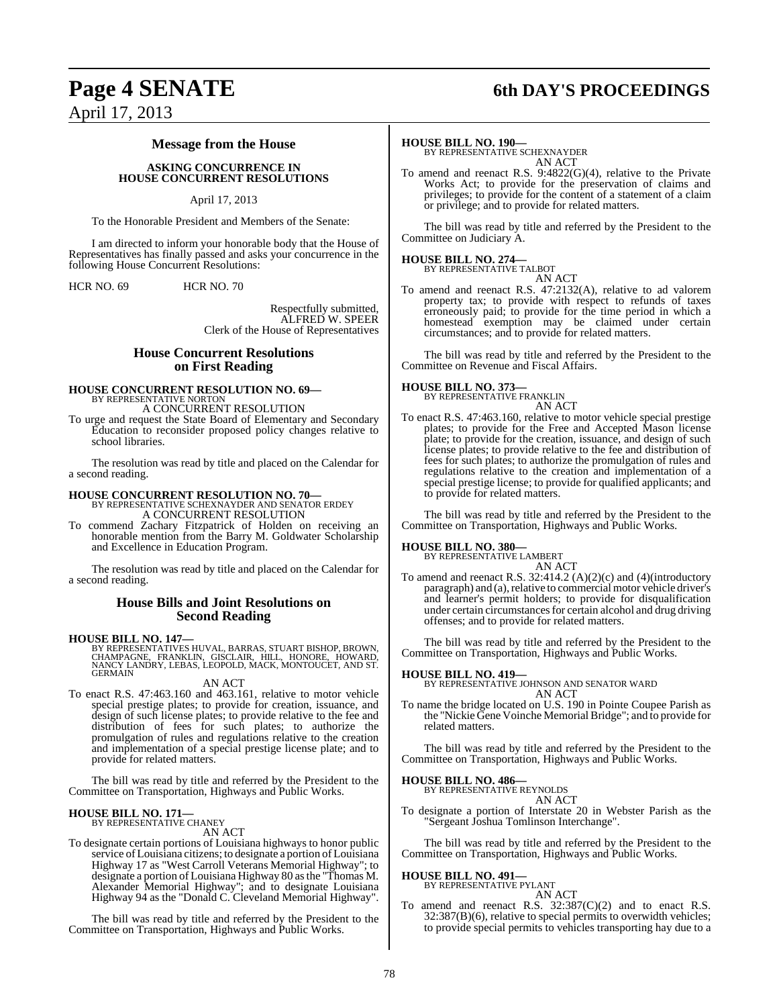## **Page 4 SENATE 6th DAY'S PROCEEDINGS**

April 17, 2013

#### **Message from the House**

**ASKING CONCURRENCE IN HOUSE CONCURRENT RESOLUTIONS**

#### April 17, 2013

To the Honorable President and Members of the Senate:

I am directed to inform your honorable body that the House of Representatives has finally passed and asks your concurrence in the following House Concurrent Resolutions:

HCR NO. 69 HCR NO. 70

Respectfully submitted, ALFRED W. SPEER Clerk of the House of Representatives

#### **House Concurrent Resolutions on First Reading**

# **HOUSE CONCURRENT RESOLUTION NO. 69—** BY REPRESENTATIVE NORTON

A CONCURRENT RESOLUTION

To urge and request the State Board of Elementary and Secondary Education to reconsider proposed policy changes relative to school libraries.

The resolution was read by title and placed on the Calendar for a second reading.

**HOUSE CONCURRENT RESOLUTION NO. 70—** BY REPRESENTATIVE SCHEXNAYDER AND SENATOR ERDEY A CONCURRENT RESOLUTION

To commend Zachary Fitzpatrick of Holden on receiving an honorable mention from the Barry M. Goldwater Scholarship and Excellence in Education Program.

The resolution was read by title and placed on the Calendar for a second reading.

#### **House Bills and Joint Resolutions on Second Reading**

**HOUSE BILL NO. 147—**<br>BY REPRESENTATIVES HUVAL, BARRAS, STUART BISHOP, BROWN,<br>CHAMPAGNE, FRANKLIN, GISCLAIR, HILL, HONORE, HOWARD,<br>NANCY LANDRY, LEBAS, LEOPOLD, MACK, MONTOUCET, AND ST.<br>GERMAIN

AN ACT

To enact R.S. 47:463.160 and 463.161, relative to motor vehicle special prestige plates; to provide for creation, issuance, and design of such license plates; to provide relative to the fee and distribution of fees for such plates; to authorize the promulgation of rules and regulations relative to the creation and implementation of a special prestige license plate; and to provide for related matters.

The bill was read by title and referred by the President to the Committee on Transportation, Highways and Public Works.

## **HOUSE BILL NO. 171—** BY REPRESENTATIVE CHANEY

AN ACT

To designate certain portions of Louisiana highways to honor public service of Louisiana citizens; to designate a portion of Louisiana Highway 17 as "West Carroll Veterans Memorial Highway"; to designate a portion of Louisiana Highway 80 asthe "Thomas M. Alexander Memorial Highway"; and to designate Louisiana Highway 94 as the "Donald C. Cleveland Memorial Highway".

The bill was read by title and referred by the President to the Committee on Transportation, Highways and Public Works.

#### **HOUSE BILL NO. 190—**

BY REPRESENTATIVE SCHEXNAYDER AN ACT

To amend and reenact R.S. 9:4822(G)(4), relative to the Private Works Act; to provide for the preservation of claims and privileges; to provide for the content of a statement of a claim or privilege; and to provide for related matters.

The bill was read by title and referred by the President to the Committee on Judiciary A.

## **HOUSE BILL NO. 274—** BY REPRESENTATIVE TALBOT

AN ACT To amend and reenact R.S. 47:2132(A), relative to ad valorem property tax; to provide with respect to refunds of taxes erroneously paid; to provide for the time period in which a homestead exemption may be claimed under certain circumstances; and to provide for related matters.

The bill was read by title and referred by the President to the Committee on Revenue and Fiscal Affairs.

## **HOUSE BILL NO. 373—** BY REPRESENTATIVE FRANKLIN

AN ACT

To enact R.S. 47:463.160, relative to motor vehicle special prestige plates; to provide for the Free and Accepted Mason license plate; to provide for the creation, issuance, and design of such license plates; to provide relative to the fee and distribution of fees for such plates; to authorize the promulgation of rules and regulations relative to the creation and implementation of a special prestige license; to provide for qualified applicants; and to provide for related matters.

The bill was read by title and referred by the President to the Committee on Transportation, Highways and Public Works.

#### **HOUSE BILL NO. 380—**

BY REPRESENTATIVE LAMBERT AN ACT

To amend and reenact R.S. 32:414.2 (A)(2)(c) and (4)(introductory paragraph) and (a), relative to commercial motor vehicle driver's and learner's permit holders; to provide for disqualification under certain circumstances for certain alcohol and drug driving offenses; and to provide for related matters.

The bill was read by title and referred by the President to the Committee on Transportation, Highways and Public Works.

#### **HOUSE BILL NO. 419—**

BY REPRESENTATIVE JOHNSON AND SENATOR WARD AN ACT

To name the bridge located on U.S. 190 in Pointe Coupee Parish as the "Nickie Gene Voinche Memorial Bridge"; and to provide for related matters.

The bill was read by title and referred by the President to the Committee on Transportation, Highways and Public Works.

## **HOUSE BILL NO. 486—** BY REPRESENTATIVE REYNOLDS

AN ACT

To designate a portion of Interstate 20 in Webster Parish as the "Sergeant Joshua Tomlinson Interchange".

The bill was read by title and referred by the President to the Committee on Transportation, Highways and Public Works.

#### **HOUSE BILL NO. 491—**

BY REPRESENTATIVE PYLANT AN ACT

To amend and reenact R.S.  $32:387(C)(2)$  and to enact R.S.  $32:387(B)(6)$ , relative to special permits to overwidth vehicles; to provide special permits to vehicles transporting hay due to a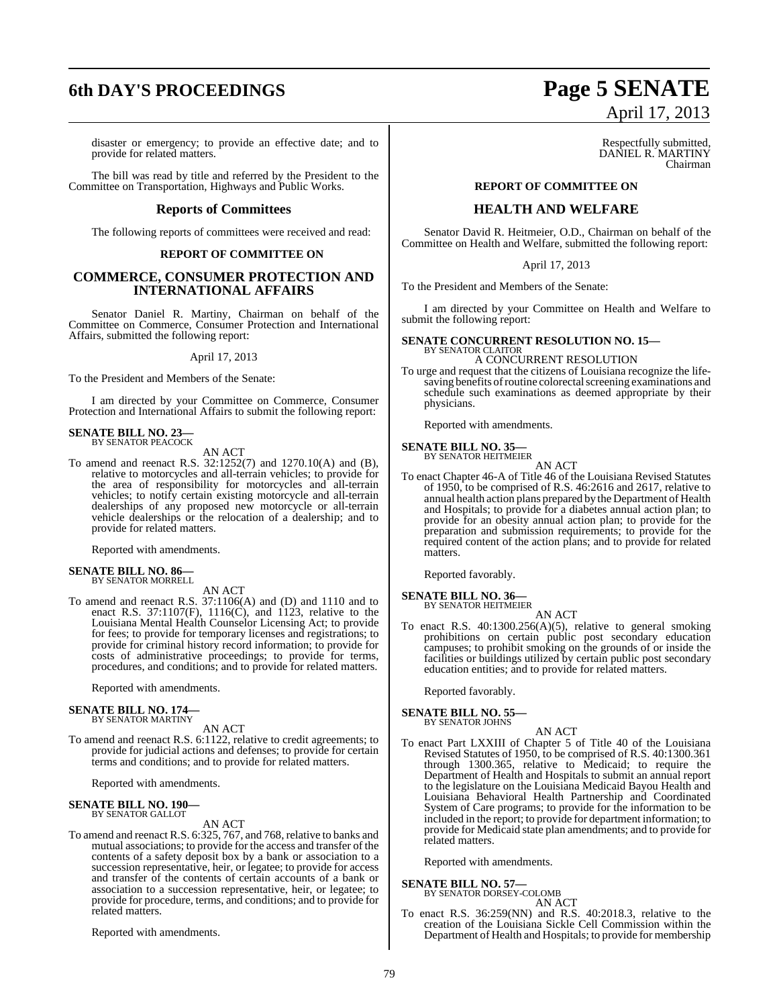# **6th DAY'S PROCEEDINGS Page 5 SENATE**

#### disaster or emergency; to provide an effective date; and to provide for related matters.

The bill was read by title and referred by the President to the Committee on Transportation, Highways and Public Works.

#### **Reports of Committees**

The following reports of committees were received and read:

#### **REPORT OF COMMITTEE ON**

#### **COMMERCE, CONSUMER PROTECTION AND INTERNATIONAL AFFAIRS**

Senator Daniel R. Martiny, Chairman on behalf of the Committee on Commerce, Consumer Protection and International Affairs, submitted the following report:

#### April 17, 2013

To the President and Members of the Senate:

I am directed by your Committee on Commerce, Consumer Protection and International Affairs to submit the following report:

#### **SENATE BILL NO. 23—** BY SENATOR PEACOCK

AN ACT

To amend and reenact R.S. 32:1252(7) and 1270.10(A) and (B), relative to motorcycles and all-terrain vehicles; to provide for the area of responsibility for motorcycles and all-terrain vehicles; to notify certain existing motorcycle and all-terrain dealerships of any proposed new motorcycle or all-terrain vehicle dealerships or the relocation of a dealership; and to provide for related matters.

Reported with amendments.

## **SENATE BILL NO. 86—** BY SENATOR MORRELL

AN ACT

To amend and reenact R.S. 37:1106(A) and (D) and 1110 and to enact R.S. 37:1107(F), 1116(C), and 1123, relative to the Louisiana Mental Health Counselor Licensing Act; to provide for fees; to provide for temporary licenses and registrations; to provide for criminal history record information; to provide for costs of administrative proceedings; to provide for terms, procedures, and conditions; and to provide for related matters.

Reported with amendments.

## **SENATE BILL NO. 174—** BY SENATOR MARTINY

AN ACT

To amend and reenact R.S. 6:1122, relative to credit agreements; to provide for judicial actions and defenses; to provide for certain terms and conditions; and to provide for related matters.

Reported with amendments.

#### **SENATE BILL NO. 190-**BY SENATOR GALLOT

AN ACT

To amend and reenact R.S. 6:325, 767, and 768, relative to banks and mutual associations; to provide for the access and transfer of the contents of a safety deposit box by a bank or association to a succession representative, heir, or legatee; to provide for access and transfer of the contents of certain accounts of a bank or association to a succession representative, heir, or legatee; to provide for procedure, terms, and conditions; and to provide for related matters.

Reported with amendments.

# April 17, 2013

Respectfully submitted, DANIEL R. MARTINY Chairman

## **REPORT OF COMMITTEE ON**

#### **HEALTH AND WELFARE**

Senator David R. Heitmeier, O.D., Chairman on behalf of the Committee on Health and Welfare, submitted the following report:

April 17, 2013

To the President and Members of the Senate:

I am directed by your Committee on Health and Welfare to submit the following report:

## **SENATE CONCURRENT RESOLUTION NO. 15—** BY SENATOR CLAITOR

#### A CONCURRENT RESOLUTION

To urge and request that the citizens of Louisiana recognize the lifesaving benefits of routine colorectal screening examinations and schedule such examinations as deemed appropriate by their physicians.

Reported with amendments.

**SENATE BILL NO. 35—** BY SENATOR HEITMEIER

AN ACT

To enact Chapter 46-A of Title 46 of the Louisiana Revised Statutes of 1950, to be comprised of R.S. 46:2616 and 2617, relative to annual health action plans prepared by the Department of Health and Hospitals; to provide for a diabetes annual action plan; to provide for an obesity annual action plan; to provide for the preparation and submission requirements; to provide for the required content of the action plans; and to provide for related matters.

Reported favorably.

### **SENATE BILL NO. 36—**

BY SENATOR HEITMEIER AN ACT

To enact R.S. 40:1300.256(A)(5), relative to general smoking prohibitions on certain public post secondary education campuses; to prohibit smoking on the grounds of or inside the facilities or buildings utilized by certain public post secondary education entities; and to provide for related matters.

Reported favorably.

## **SENATE BILL NO. 55—** BY SENATOR JOHNS

$$
AN ACT
$$

To enact Part LXXIII of Chapter 5 of Title 40 of the Louisiana Revised Statutes of 1950, to be comprised of R.S. 40:1300.361 through 1300.365, relative to Medicaid; to require the Department of Health and Hospitals to submit an annual report to the legislature on the Louisiana Medicaid Bayou Health and Louisiana Behavioral Health Partnership and Coordinated System of Care programs; to provide for the information to be included in the report; to provide for department information; to provide for Medicaid state plan amendments; and to provide for related matters.

Reported with amendments.

#### **SENATE BILL NO. 57—**

BY SENATOR DORSEY-COLOMB AN ACT

To enact R.S. 36:259(NN) and R.S. 40:2018.3, relative to the creation of the Louisiana Sickle Cell Commission within the Department of Health and Hospitals; to provide for membership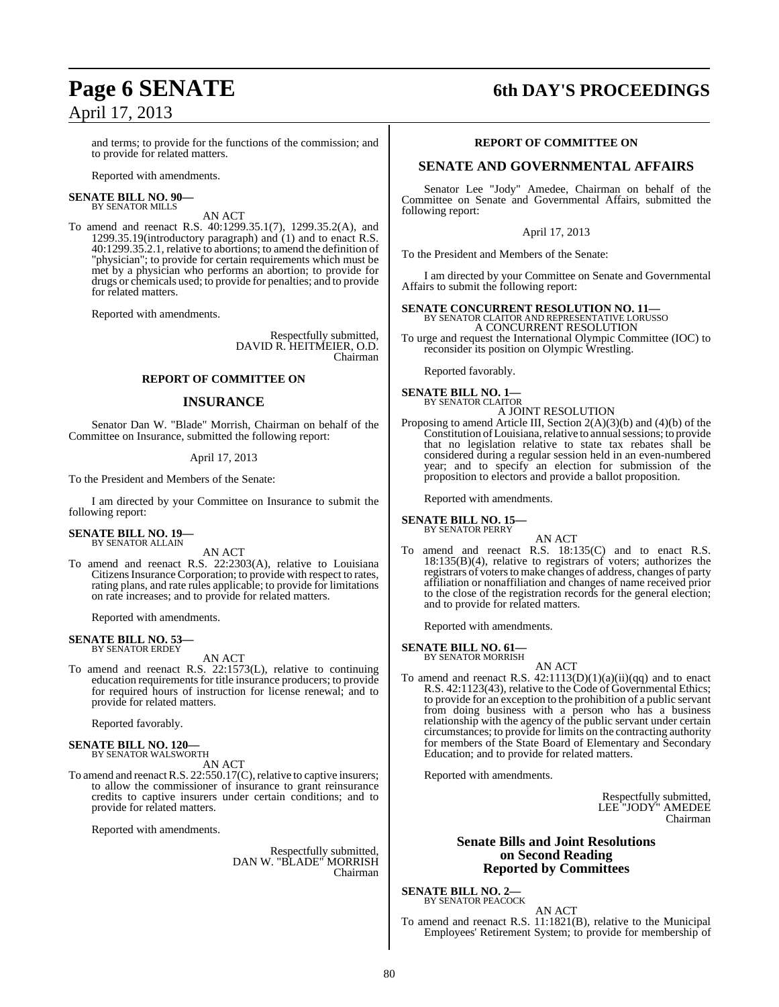# **Page 6 SENATE 6th DAY'S PROCEEDINGS**

and terms; to provide for the functions of the commission; and to provide for related matters.

Reported with amendments.

#### **SENATE BILL NO. 90—** BY SENATOR MILLS

AN ACT

To amend and reenact R.S. 40:1299.35.1(7), 1299.35.2(A), and 1299.35.19(introductory paragraph) and  $(1)$  and to enact R.S. 40:1299.35.2.1, relative to abortions; to amend the definition of "physician"; to provide for certain requirements which must be met by a physician who performs an abortion; to provide for drugs or chemicals used; to provide for penalties; and to provide for related matters.

Reported with amendments.

Respectfully submitted, DAVID R. HEITMEIER, O.D. Chairman

#### **REPORT OF COMMITTEE ON**

#### **INSURANCE**

Senator Dan W. "Blade" Morrish, Chairman on behalf of the Committee on Insurance, submitted the following report:

#### April 17, 2013

To the President and Members of the Senate:

I am directed by your Committee on Insurance to submit the following report:

**SENATE BILL NO. 19—** BY SENATOR ALLAIN

AN ACT

To amend and reenact R.S. 22:2303(A), relative to Louisiana Citizens Insurance Corporation; to provide with respect to rates, rating plans, and rate rules applicable; to provide for limitations on rate increases; and to provide for related matters.

Reported with amendments.

## **SENATE BILL NO. 53—** BY SENATOR ERDEY

AN ACT

To amend and reenact R.S. 22:1573(L), relative to continuing education requirements for title insurance producers; to provide for required hours of instruction for license renewal; and to provide for related matters.

Reported favorably.

#### **SENATE BILL NO. 120—** BY SENATOR WALSWORTH

AN ACT

To amend and reenact R.S. 22:550.17(C), relative to captive insurers; to allow the commissioner of insurance to grant reinsurance credits to captive insurers under certain conditions; and to provide for related matters.

Reported with amendments.

Respectfully submitted, DAN W. "BLADE" MORRISH Chairman

#### **REPORT OF COMMITTEE ON**

#### **SENATE AND GOVERNMENTAL AFFAIRS**

Senator Lee "Jody" Amedee, Chairman on behalf of the Committee on Senate and Governmental Affairs, submitted the following report:

April 17, 2013

To the President and Members of the Senate:

I am directed by your Committee on Senate and Governmental Affairs to submit the following report:

#### **SENATE CONCURRENT RESOLUTION NO. 11—** BY SENATOR CLAITOR AND REPRESENTATIVE LORUSSO

A CONCURRENT RESOLUTION To urge and request the International Olympic Committee (IOC) to reconsider its position on Olympic Wrestling.

Reported favorably.

#### **SENATE BILL NO. 1—** BY SENATOR CLAITOR A JOINT RESOLUTION

Proposing to amend Article III, Section  $2(A)(3)(b)$  and  $(4)(b)$  of the Constitution of Louisiana, relative to annual sessions; to provide that no legislation relative to state tax rebates shall be considered during a regular session held in an even-numbered year; and to specify an election for submission of the proposition to electors and provide a ballot proposition.

Reported with amendments.

#### **SENATE BILL NO. 15—** BY SENATOR PERRY

AN ACT To amend and reenact R.S. 18:135(C) and to enact R.S. 18:135(B)(4), relative to registrars of voters; authorizes the registrars of voters to make changes of address, changes of party affiliation or nonaffiliation and changes of name received prior to the close of the registration records for the general election; and to provide for related matters.

Reported with amendments.

#### **SENATE BILL NO. 61—** BY SENATOR MORRISH

AN ACT

To amend and reenact R.S.  $42:1113(D)(1)(a)(ii)(qq)$  and to enact R.S. 42:1123(43), relative to the Code of Governmental Ethics; to provide for an exception to the prohibition of a public servant from doing business with a person who has a business relationship with the agency of the public servant under certain circumstances; to provide for limits on the contracting authority for members of the State Board of Elementary and Secondary Education; and to provide for related matters.

Reported with amendments.

Respectfully submitted, LEE "JODY" AMEDEE Chairman

#### **Senate Bills and Joint Resolutions on Second Reading Reported by Committees**

**SENATE BILL NO. 2—** BY SENATOR PEACOCK

AN ACT To amend and reenact R.S. 11:1821(B), relative to the Municipal Employees' Retirement System; to provide for membership of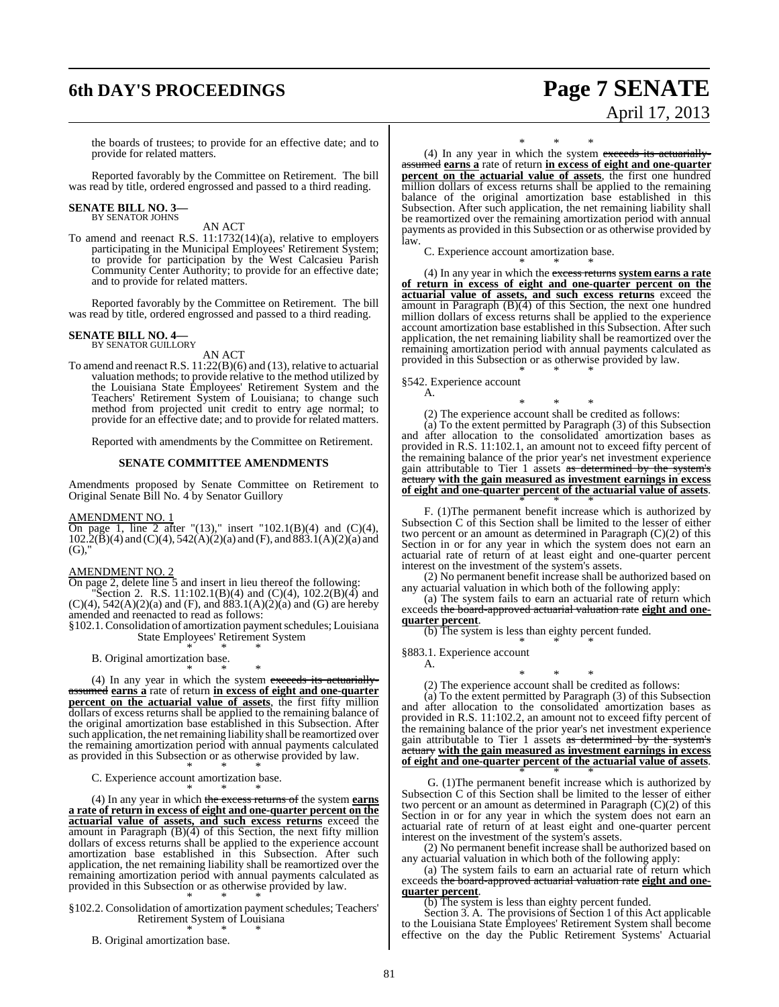## **6th DAY'S PROCEEDINGS Page 7 SENATE**

# April 17, 2013

the boards of trustees; to provide for an effective date; and to provide for related matters.

Reported favorably by the Committee on Retirement. The bill was read by title, ordered engrossed and passed to a third reading.

#### **SENATE BILL NO. 3—** BY SENATOR JOHNS

AN ACT

To amend and reenact R.S. 11:1732(14)(a), relative to employers participating in the Municipal Employees' Retirement System; to provide for participation by the West Calcasieu Parish Community Center Authority; to provide for an effective date; and to provide for related matters.

Reported favorably by the Committee on Retirement. The bill was read by title, ordered engrossed and passed to a third reading.

## **SENATE BILL NO. 4—**<br>BY SENATOR GUILLORY

AN ACT

To amend and reenact R.S. 11:22(B)(6) and (13), relative to actuarial valuation methods; to provide relative to the method utilized by the Louisiana State Employees' Retirement System and the Teachers' Retirement System of Louisiana; to change such method from projected unit credit to entry age normal; to provide for an effective date; and to provide for related matters.

Reported with amendments by the Committee on Retirement.

#### **SENATE COMMITTEE AMENDMENTS**

Amendments proposed by Senate Committee on Retirement to Original Senate Bill No. 4 by Senator Guillory

#### AMENDMENT NO. 1

On page 1, line 2 after "(13)," insert "102.1(B)(4) and (C)(4),  $102.2(\overline{B})(4)$  and  $(C)(4)$ ,  $542(A)(2)(a)$  and  $(F)$ , and  $883.1(A)(2)(a)$  and  $(G)$ .

#### AMENDMENT NO. 2

On page 2, delete line 5 and insert in lieu thereof the following:

Section 2. R.S. 11:102.1(B)(4) and (C)(4), 102.2(B)(4) and  $(C)(4)$ , 542(A)(2)(a) and (F), and  $883.1(A)(2)(a)$  and (G) are hereby amended and reenacted to read as follows:

§102.1.Consolidation of amortization paymentschedules; Louisiana State Employees' Retirement System \* \* \*

B. Original amortization base.

\* \* \* (4) In any year in which the system exceeds its actuariallyassumed **earns a** rate of return **in excess of eight and one-quarter percent on the actuarial value of assets**, the first fifty million dollars of excess returns shall be applied to the remaining balance of the original amortization base established in this Subsection. After such application, the netremaining liability shall be reamortized over the remaining amortization period with annual payments calculated as provided in this Subsection or as otherwise provided by law. \* \* \*

C. Experience account amortization base.

\* \* \* (4) In any year in which the excess returns of the system **earns a rate of return in excess of eight and one-quarter percent on the actuarial value of assets, and such excess returns** exceed the amount in Paragraph (B)(4) of this Section, the next fifty million dollars of excess returns shall be applied to the experience account amortization base established in this Subsection. After such application, the net remaining liability shall be reamortized over the remaining amortization period with annual payments calculated as provided in this Subsection or as otherwise provided by law.

\* \* \* §102.2. Consolidation of amortization payment schedules; Teachers' Retirement System of Louisiana

\* \* \* B. Original amortization base.

\* \* \*

(4) In any year in which the system exceeds its actuariallyassumed **earns a** rate of return **in excess of eight and one-quarter percent on the actuarial value of assets**, the first one hundred million dollars of excess returns shall be applied to the remaining balance of the original amortization base established in this Subsection. After such application, the net remaining liability shall be reamortized over the remaining amortization period with annual payments as provided in this Subsection or as otherwise provided by law.

C. Experience account amortization base. \* \* \*

(4) In any year in which the excess returns **system earns a rate of return in excess of eight and one-quarter percent on the actuarial value of assets, and such excess returns** exceed the amount in Paragraph (B)(4) of this Section, the next one hundred million dollars of excess returns shall be applied to the experience account amortization base established in this Subsection. After such application, the net remaining liability shall be reamortized over the remaining amortization period with annual payments calculated as provided in this Subsection or as otherwise provided by law.

\* \* \*

§542. Experience account

A.

\* \* \* (2) The experience account shall be credited as follows:

(a) To the extent permitted by Paragraph (3) of this Subsection and after allocation to the consolidated amortization bases as provided in R.S. 11:102.1, an amount not to exceed fifty percent of the remaining balance of the prior year's net investment experience gain attributable to Tier 1 assets as determined by the system's actuary **with the gain measured as investment earnings in excess of eight and one-quarter percent of the actuarial value of assets**.

\* \* \* F. (1)The permanent benefit increase which is authorized by Subsection C of this Section shall be limited to the lesser of either two percent or an amount as determined in Paragraph  $(C)(2)$  of this Section in or for any year in which the system does not earn an actuarial rate of return of at least eight and one-quarter percent interest on the investment of the system's assets.

(2) No permanent benefit increase shall be authorized based on actuarial valuation in which both of the following apply:

(a) The system fails to earn an actuarial rate of return which exceeds the board-approved actuarial valuation rate **eight and onequarter percent**.

(b) The system is less than eighty percent funded.

\* \* \* §883.1. Experience account

A.

\* \* \* (2) The experience account shall be credited as follows:

(a) To the extent permitted by Paragraph (3) of this Subsection and after allocation to the consolidated amortization bases as provided in R.S. 11:102.2, an amount not to exceed fifty percent of the remaining balance of the prior year's net investment experience gain attributable to Tier 1 assets as determined by the system's actuary **with the gain measured as investment earnings in excess of eight and one-quarter percent of the actuarial value of assets**. \* \* \*

G. (1)The permanent benefit increase which is authorized by Subsection C of this Section shall be limited to the lesser of either two percent or an amount as determined in Paragraph (C)(2) of this Section in or for any year in which the system does not earn an actuarial rate of return of at least eight and one-quarter percent interest on the investment of the system's assets.

(2) No permanent benefit increase shall be authorized based on any actuarial valuation in which both of the following apply:

(a) The system fails to earn an actuarial rate of return which exceeds the board-approved actuarial valuation rate **eight and one-**

**quarter percent**.

(b) The system is less than eighty percent funded.

Section 3. A. The provisions of Section 1 of this Act applicable to the Louisiana State Employees' Retirement System shall become effective on the day the Public Retirement Systems' Actuarial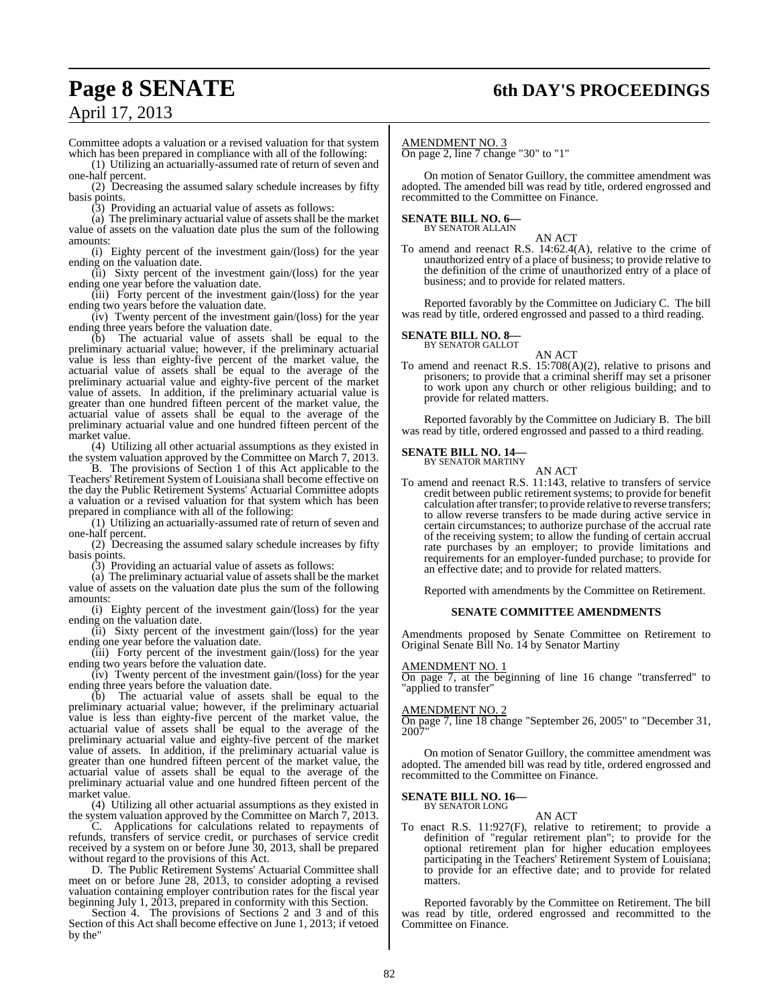## **Page 8 SENATE 6th DAY'S PROCEEDINGS**

## April 17, 2013

Committee adopts a valuation or a revised valuation for that system which has been prepared in compliance with all of the following:

(1) Utilizing an actuarially-assumed rate of return of seven and one-half percent.

(2) Decreasing the assumed salary schedule increases by fifty basis points.

(3) Providing an actuarial value of assets as follows:

(a) The preliminary actuarial value of assets shall be the market value of assets on the valuation date plus the sum of the following amounts:

(i) Eighty percent of the investment gain/(loss) for the year ending on the valuation date.

(ii) Sixty percent of the investment gain/(loss) for the year ending one year before the valuation date.

(iii) Forty percent of the investment gain/(loss) for the year ending two years before the valuation date.

(iv) Twenty percent of the investment gain/(loss) for the year ending three years before the valuation date.

(b) The actuarial value of assets shall be equal to the preliminary actuarial value; however, if the preliminary actuarial value is less than eighty-five percent of the market value, the actuarial value of assets shall be equal to the average of the preliminary actuarial value and eighty-five percent of the market value of assets. In addition, if the preliminary actuarial value is greater than one hundred fifteen percent of the market value, the actuarial value of assets shall be equal to the average of the preliminary actuarial value and one hundred fifteen percent of the market value.

(4) Utilizing all other actuarial assumptions as they existed in the system valuation approved by the Committee on March 7, 2013.

B. The provisions of Section 1 of this Act applicable to the Teachers' Retirement System of Louisiana shall become effective on the day the Public Retirement Systems' Actuarial Committee adopts a valuation or a revised valuation for that system which has been prepared in compliance with all of the following:

(1) Utilizing an actuarially-assumed rate of return of seven and one-half percent.

(2) Decreasing the assumed salary schedule increases by fifty basis points.

(3) Providing an actuarial value of assets as follows:

(a) The preliminary actuarial value of assets shall be the market value of assets on the valuation date plus the sum of the following amounts:

(i) Eighty percent of the investment gain/(loss) for the year ending on the valuation date.

(ii) Sixty percent of the investment gain/(loss) for the year ending one year before the valuation date.

(iii) Forty percent of the investment gain/(loss) for the year ending two years before the valuation date.

(iv) Twenty percent of the investment gain/(loss) for the year ending three years before the valuation date.

(b) The actuarial value of assets shall be equal to the preliminary actuarial value; however, if the preliminary actuarial value is less than eighty-five percent of the market value, the actuarial value of assets shall be equal to the average of the preliminary actuarial value and eighty-five percent of the market value of assets. In addition, if the preliminary actuarial value is greater than one hundred fifteen percent of the market value, the actuarial value of assets shall be equal to the average of the preliminary actuarial value and one hundred fifteen percent of the market value.

(4) Utilizing all other actuarial assumptions as they existed in the system valuation approved by the Committee on March 7, 2013.

C. Applications for calculations related to repayments of refunds, transfers of service credit, or purchases of service credit received by a system on or before June 30, 2013, shall be prepared without regard to the provisions of this Act.

D. The Public Retirement Systems' Actuarial Committee shall meet on or before June 28, 2013, to consider adopting a revised valuation containing employer contribution rates for the fiscal year beginning July 1, 2013, prepared in conformity with this Section.

Section 4. The provisions of Sections 2 and 3 and of this Section of this Act shall become effective on June 1, 2013; if vetoed by the"

#### AMENDMENT NO. 3

On page 2, line 7 change "30" to "1"

On motion of Senator Guillory, the committee amendment was adopted. The amended bill was read by title, ordered engrossed and recommitted to the Committee on Finance.

#### **SENATE BILL NO. 6—** BY SENATOR ALLAIN

AN ACT

To amend and reenact R.S. 14:62.4(A), relative to the crime of unauthorized entry of a place of business; to provide relative to the definition of the crime of unauthorized entry of a place of business; and to provide for related matters.

Reported favorably by the Committee on Judiciary C. The bill was read by title, ordered engrossed and passed to a third reading.

#### **SENATE BILL NO. 8—** BY SENATOR GALLOT

AN ACT

To amend and reenact R.S. 15:708(A)(2), relative to prisons and prisoners; to provide that a criminal sheriff may set a prisoner to work upon any church or other religious building; and to provide for related matters.

Reported favorably by the Committee on Judiciary B. The bill was read by title, ordered engrossed and passed to a third reading.

#### **SENATE BILL NO. 14—** BY SENATOR MARTINY

AN ACT To amend and reenact R.S. 11:143, relative to transfers of service credit between public retirement systems; to provide for benefit calculation after transfer; to provide relative to reverse transfers; to allow reverse transfers to be made during active service in certain circumstances; to authorize purchase of the accrual rate of the receiving system; to allow the funding of certain accrual rate purchases by an employer; to provide limitations and requirements for an employer-funded purchase; to provide for an effective date; and to provide for related matters.

Reported with amendments by the Committee on Retirement.

#### **SENATE COMMITTEE AMENDMENTS**

Amendments proposed by Senate Committee on Retirement to Original Senate Bill No. 14 by Senator Martiny

#### AMENDMENT NO. 1

On page 7, at the beginning of line 16 change "transferred" to "applied to transfer"

#### AMENDMENT NO. 2

On page 7, line 18 change "September 26, 2005" to "December 31, 2007"

On motion of Senator Guillory, the committee amendment was adopted. The amended bill was read by title, ordered engrossed and recommitted to the Committee on Finance.

## **SENATE BILL NO. 16—**<br>BY SENATOR LONG

AN ACT

To enact R.S. 11:927(F), relative to retirement; to provide a definition of "regular retirement plan"; to provide for the optional retirement plan for higher education employees participating in the Teachers' Retirement System of Louisiana; to provide for an effective date; and to provide for related matters.

Reported favorably by the Committee on Retirement. The bill was read by title, ordered engrossed and recommitted to the Committee on Finance.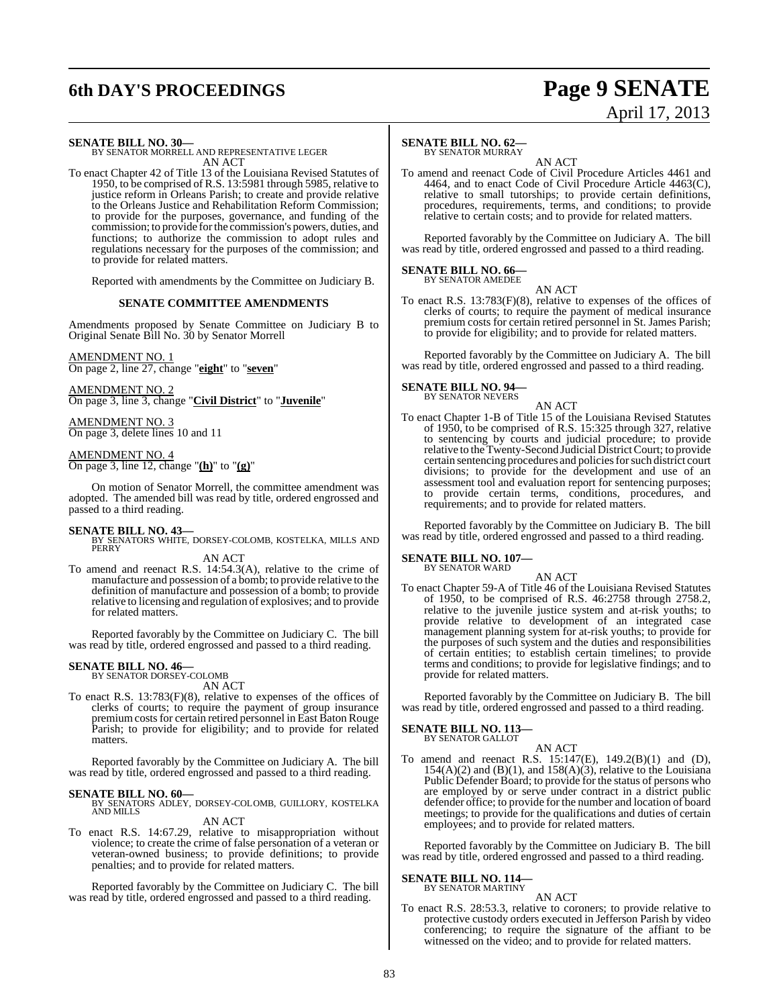# **6th DAY'S PROCEEDINGS Page 9 SENATE**

# April 17, 2013

#### **SENATE BILL NO. 30—**

BY SENATOR MORRELL AND REPRESENTATIVE LEGER AN ACT

To enact Chapter 42 of Title 13 of the Louisiana Revised Statutes of 1950, to be comprised of R.S. 13:5981 through 5985, relative to justice reform in Orleans Parish; to create and provide relative to the Orleans Justice and Rehabilitation Reform Commission; to provide for the purposes, governance, and funding of the commission; to provide forthe commission's powers, duties, and functions; to authorize the commission to adopt rules and regulations necessary for the purposes of the commission; and to provide for related matters.

Reported with amendments by the Committee on Judiciary B.

#### **SENATE COMMITTEE AMENDMENTS**

Amendments proposed by Senate Committee on Judiciary B to Original Senate Bill No. 30 by Senator Morrell

## AMENDMENT NO. 1

On page 2, line 27, change "**eight**" to "**seven**"

AMENDMENT NO. 2 On page 3, line 3, change "**Civil District**" to "**Juvenile**"

AMENDMENT NO. 3 On page 3, delete lines 10 and 11

#### AMENDMENT NO. 4

On page 3, line 12, change "**(h)**" to "**(g)**"

On motion of Senator Morrell, the committee amendment was adopted. The amended bill was read by title, ordered engrossed and passed to a third reading.

**SENATE BILL NO. 43—**<br>BY SENATORS WHITE, DORSEY-COLOMB, KOSTELKA, MILLS AND PERRY

#### AN ACT

To amend and reenact R.S. 14:54.3(A), relative to the crime of manufacture and possession of a bomb; to provide relative to the definition of manufacture and possession of a bomb; to provide relative to licensing and regulation of explosives; and to provide for related matters.

Reported favorably by the Committee on Judiciary C. The bill was read by title, ordered engrossed and passed to a third reading.

#### **SENATE BILL NO. 46—**

BY SENATOR DORSEY-COLOMB AN ACT

To enact R.S. 13:783(F)(8), relative to expenses of the offices of clerks of courts; to require the payment of group insurance premium costs for certain retired personnel in East Baton Rouge Parish; to provide for eligibility; and to provide for related matters.

Reported favorably by the Committee on Judiciary A. The bill was read by title, ordered engrossed and passed to a third reading.

**SENATE BILL NO. 60—** BY SENATORS ADLEY, DORSEY-COLOMB, GUILLORY, KOSTELKA AND MILLS

AN ACT

To enact R.S. 14:67.29, relative to misappropriation without violence; to create the crime of false personation of a veteran or veteran-owned business; to provide definitions; to provide penalties; and to provide for related matters.

Reported favorably by the Committee on Judiciary C. The bill was read by title, ordered engrossed and passed to a third reading.

## **SENATE BILL NO. 62—**

BY SENATOR MURRAY

AN ACT To amend and reenact Code of Civil Procedure Articles 4461 and 4464, and to enact Code of Civil Procedure Article 4463(C), relative to small tutorships; to provide certain definitions, procedures, requirements, terms, and conditions; to provide relative to certain costs; and to provide for related matters.

Reported favorably by the Committee on Judiciary A. The bill was read by title, ordered engrossed and passed to a third reading.

#### **SENATE BILL NO. 66—**

BY SENATOR AMEDEE AN ACT

To enact R.S. 13:783(F)(8), relative to expenses of the offices of clerks of courts; to require the payment of medical insurance premium costs for certain retired personnel in St. James Parish; to provide for eligibility; and to provide for related matters.

Reported favorably by the Committee on Judiciary A. The bill was read by title, ordered engrossed and passed to a third reading.

## **SENATE BILL NO. 94—** BY SENATOR NEVERS

AN ACT To enact Chapter 1-B of Title 15 of the Louisiana Revised Statutes of 1950, to be comprised of R.S. 15:325 through 327, relative to sentencing by courts and judicial procedure; to provide relative to theTwenty-Second Judicial DistrictCourt; to provide certain sentencing procedures and policies for such district court divisions; to provide for the development and use of an assessment tool and evaluation report for sentencing purposes; to provide certain terms, conditions, procedures, and requirements; and to provide for related matters.

Reported favorably by the Committee on Judiciary B. The bill was read by title, ordered engrossed and passed to a third reading.

## **SENATE BILL NO. 107—** BY SENATOR WARD

AN ACT To enact Chapter 59-A of Title 46 of the Louisiana Revised Statutes of 1950, to be comprised of R.S. 46:2758 through 2758.2, relative to the juvenile justice system and at-risk youths; to provide relative to development of an integrated case management planning system for at-risk youths; to provide for the purposes of such system and the duties and responsibilities of certain entities; to establish certain timelines; to provide terms and conditions; to provide for legislative findings; and to provide for related matters.

Reported favorably by the Committee on Judiciary B. The bill was read by title, ordered engrossed and passed to a third reading.

## **SENATE BILL NO. 113—** BY SENATOR GALLOT

AN ACT

To amend and reenact R.S. 15:147(E), 149.2(B)(1) and (D),  $154(A)(2)$  and  $(B)(1)$ , and  $158(A)(3)$ , relative to the Louisiana Public Defender Board; to provide for the status of persons who are employed by or serve under contract in a district public defender office; to provide for the number and location of board meetings; to provide for the qualifications and duties of certain employees; and to provide for related matters.

Reported favorably by the Committee on Judiciary B. The bill was read by title, ordered engrossed and passed to a third reading.

#### **SENATE BILL NO. 114—** BY SENATOR MARTINY

AN ACT

To enact R.S. 28:53.3, relative to coroners; to provide relative to protective custody orders executed in Jefferson Parish by video conferencing; to require the signature of the affiant to be witnessed on the video; and to provide for related matters.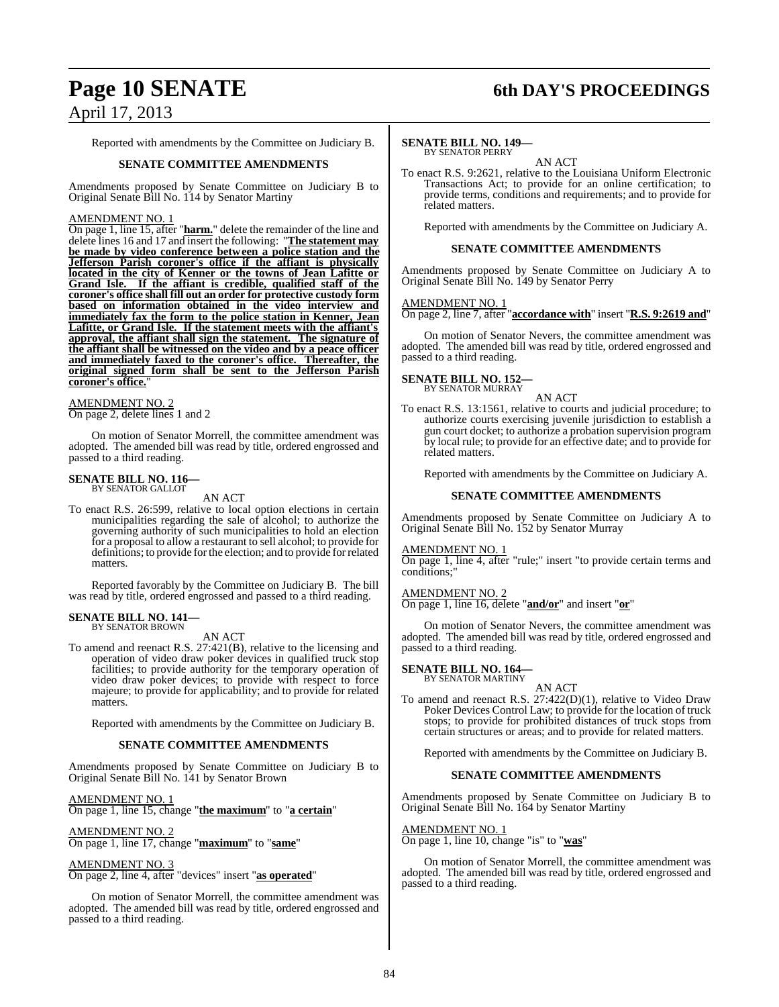## **Page 10 SENATE 6th DAY'S PROCEEDINGS**

Reported with amendments by the Committee on Judiciary B.

#### **SENATE COMMITTEE AMENDMENTS**

Amendments proposed by Senate Committee on Judiciary B to Original Senate Bill No. 114 by Senator Martiny

#### AMENDMENT NO. 1

On page 1, line 15, after "**harm.**" delete the remainder of the line and delete lines 16 and 17 and insert the following: "**The statement may be made by video conference between a police station and the Jefferson Parish coroner's office if the affiant is physically located in the city of Kenner or the towns of Jean Lafitte or Grand Isle. If the affiant is credible, qualified staff of the coroner's office shall fill out an order for protective custody form based on information obtained in the video interview and immediately fax the form to the police station in Kenner, Jean Lafitte, or Grand Isle. If the statement meets with the affiant's approval, the affiant shall sign the statement. The signature of the affiant shall be witnessed on the video and by a peace officer and immediately faxed to the coroner's office. Thereafter, the original signed form shall be sent to the Jefferson Parish coroner's office.**"

#### AMEND<u>MENT NO. 2</u>

On page 2, delete lines 1 and 2

On motion of Senator Morrell, the committee amendment was adopted. The amended bill was read by title, ordered engrossed and passed to a third reading.

#### **SENATE BILL NO. 116—** BY SENATOR GALLOT

AN ACT

To enact R.S. 26:599, relative to local option elections in certain municipalities regarding the sale of alcohol; to authorize the governing authority of such municipalities to hold an election for a proposal to allow a restaurant to sell alcohol; to provide for definitions; to provide for the election; and to provide for related matters.

Reported favorably by the Committee on Judiciary B. The bill was read by title, ordered engrossed and passed to a third reading.

#### **SENATE BILL NO. 141—** BY SENATOR BROWN

AN ACT

To amend and reenact R.S. 27:421(B), relative to the licensing and operation of video draw poker devices in qualified truck stop facilities; to provide authority for the temporary operation of video draw poker devices; to provide with respect to force majeure; to provide for applicability; and to provide for related matters.

Reported with amendments by the Committee on Judiciary B.

#### **SENATE COMMITTEE AMENDMENTS**

Amendments proposed by Senate Committee on Judiciary B to Original Senate Bill No. 141 by Senator Brown

#### AMENDMENT NO. 1

On page 1, line 15, change "**the maximum**" to "**a certain**"

#### AMENDMENT NO. 2

On page 1, line 17, change "**maximum**" to "**same**"

#### AMENDMENT NO. 3

On page 2, line 4, after "devices" insert "**as operated**"

On motion of Senator Morrell, the committee amendment was adopted. The amended bill was read by title, ordered engrossed and passed to a third reading.

#### **SENATE BILL NO. 149—**

BY SENATOR PERRY AN ACT

To enact R.S. 9:2621, relative to the Louisiana Uniform Electronic Transactions Act; to provide for an online certification; to provide terms, conditions and requirements; and to provide for related matters.

Reported with amendments by the Committee on Judiciary A.

#### **SENATE COMMITTEE AMENDMENTS**

Amendments proposed by Senate Committee on Judiciary A to Original Senate Bill No. 149 by Senator Perry

#### AMENDMENT NO. 1

On page 2, line 7, after "**accordance with**" insert "**R.S. 9:2619 and**"

On motion of Senator Nevers, the committee amendment was adopted. The amended bill was read by title, ordered engrossed and passed to a third reading.

#### **SENATE BILL NO. 152—** BY SENATOR MURRAY

AN ACT

To enact R.S. 13:1561, relative to courts and judicial procedure; to authorize courts exercising juvenile jurisdiction to establish a gun court docket; to authorize a probation supervision program by local rule; to provide for an effective date; and to provide for related matters.

Reported with amendments by the Committee on Judiciary A.

#### **SENATE COMMITTEE AMENDMENTS**

Amendments proposed by Senate Committee on Judiciary A to Original Senate Bill No. 152 by Senator Murray

#### AMENDMENT NO. 1

On page 1, line 4, after "rule;" insert "to provide certain terms and conditions;"

#### AMENDMENT NO. 2

On page 1, line 16, delete "**and/or**" and insert "**or**"

On motion of Senator Nevers, the committee amendment was adopted. The amended bill was read by title, ordered engrossed and passed to a third reading.

## **SENATE BILL NO. 164—** BY SENATOR MARTINY

AN ACT

To amend and reenact R.S. 27:422(D)(1), relative to Video Draw Poker Devices Control Law; to provide for the location of truck stops; to provide for prohibited distances of truck stops from certain structures or areas; and to provide for related matters.

Reported with amendments by the Committee on Judiciary B.

#### **SENATE COMMITTEE AMENDMENTS**

Amendments proposed by Senate Committee on Judiciary B to Original Senate Bill No. 164 by Senator Martiny

#### AMENDMENT NO. 1

On page 1, line 10, change "is" to "**was**"

On motion of Senator Morrell, the committee amendment was adopted. The amended bill was read by title, ordered engrossed and passed to a third reading.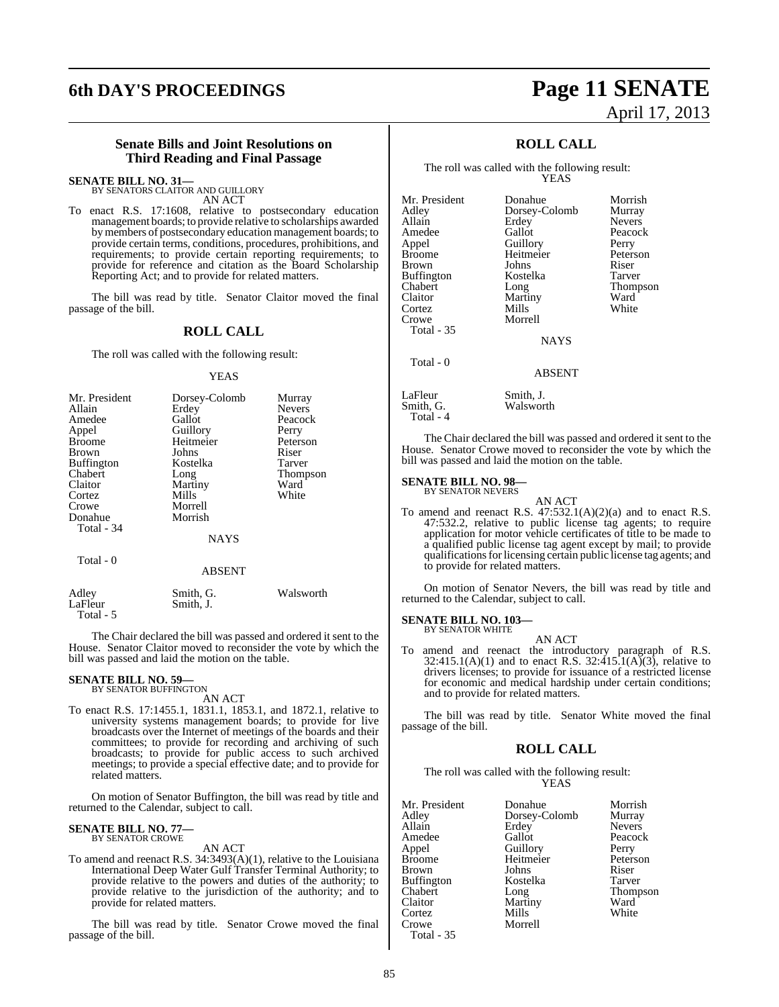## **6th DAY'S PROCEEDINGS Page 11 SENATE**

# April 17, 2013

#### **Senate Bills and Joint Resolutions on Third Reading and Final Passage**

**SENATE BILL NO. 31—**

BY SENATORS CLAITOR AND GUILLORY AN ACT

To enact R.S. 17:1608, relative to postsecondary education management boards; to provide relative to scholarships awarded bymembers of postsecondary education management boards; to provide certain terms, conditions, procedures, prohibitions, and requirements; to provide certain reporting requirements; to provide for reference and citation as the Board Scholarship Reporting Act; and to provide for related matters.

The bill was read by title. Senator Claitor moved the final passage of the bill.

## **ROLL CALL**

The roll was called with the following result:

#### YEAS

| Mr. President<br>Allain<br>Amedee<br>Appel<br><b>Broome</b><br><b>Brown</b><br><b>Buffington</b><br>Chabert<br>Claitor<br>Cortez<br>Crowe<br>Donahue | Dorsey-Colomb<br>Erdey<br>Gallot<br>Guillory<br>Heitmeier<br>Johns<br>Kostelka<br>Long<br>Martiny<br>Mills<br>Morrell<br>Morrish | Murray<br><b>Nevers</b><br>Peacock<br>Perry<br>Peterson<br>Riser<br>Tarver<br><b>Thompson</b><br>Ward<br>White |
|------------------------------------------------------------------------------------------------------------------------------------------------------|----------------------------------------------------------------------------------------------------------------------------------|----------------------------------------------------------------------------------------------------------------|
|                                                                                                                                                      |                                                                                                                                  |                                                                                                                |
| Total - 34                                                                                                                                           | <b>NAYS</b>                                                                                                                      |                                                                                                                |

Total - 0

#### ABSENT

| Adley     | Smith, G. | Walsworth |
|-----------|-----------|-----------|
| LaFleur   | Smith. J. |           |
| Total - 5 |           |           |

The Chair declared the bill was passed and ordered it sent to the House. Senator Claitor moved to reconsider the vote by which the bill was passed and laid the motion on the table.

## **SENATE BILL NO. 59—** BY SENATOR BUFFINGTON

AN ACT

To enact R.S. 17:1455.1, 1831.1, 1853.1, and 1872.1, relative to university systems management boards; to provide for live broadcasts over the Internet of meetings of the boards and their committees; to provide for recording and archiving of such broadcasts; to provide for public access to such archived meetings; to provide a special effective date; and to provide for related matters.

On motion of Senator Buffington, the bill was read by title and returned to the Calendar, subject to call.

#### **SENATE BILL NO. 77—** BY SENATOR CROWE

#### AN ACT

To amend and reenact R.S. 34:3493(A)(1), relative to the Louisiana International Deep Water Gulf Transfer Terminal Authority; to provide relative to the powers and duties of the authority; to provide relative to the jurisdiction of the authority; and to provide for related matters.

The bill was read by title. Senator Crowe moved the final passage of the bill.

## **ROLL CALL**

The roll was called with the following result: YEAS

Mr. President Donahue Morrish<br>Adley Dorsey-Colomb Murray Adley Dorsey-Colomb Murray Amedee Gallot Peacock<br>
Appel Guillory Perry Appel Guillory Perry Brown Johns Riser<br>Buffington Kostelka Tarver Buffington<br>Chabert Chabert Long Thompson Claitor Martiny Ward<br>Cortez Mills White Cortez Mills<br>Crowe Morre Total - 35 Total - 0

Nevers<sup>2</sup> Heitmeier Peters<br>Johns Riser

NAYS

#### ABSENT

Morrell

LaFleur Smith, J.<br>Smith, G. Walswor Walsworth Total - 4

The Chair declared the bill was passed and ordered it sent to the House. Senator Crowe moved to reconsider the vote by which the bill was passed and laid the motion on the table.

#### **SENATE BILL NO. 98—** BY SENATOR NEVERS

AN ACT

To amend and reenact R.S. 47:532.1(A)(2)(a) and to enact R.S. 47:532.2, relative to public license tag agents; to require application for motor vehicle certificates of title to be made to a qualified public license tag agent except by mail; to provide qualifications for licensing certain public license tag agents; and to provide for related matters.

On motion of Senator Nevers, the bill was read by title and returned to the Calendar, subject to call.

#### **SENATE BILL NO. 103—** BY SENATOR WHITE

AN ACT

To amend and reenact the introductory paragraph of R.S.  $32:415.1(A)(1)$  and to enact R.S.  $32:415.1(A)(3)$ , relative to drivers licenses; to provide for issuance of a restricted license for economic and medical hardship under certain conditions; and to provide for related matters.

The bill was read by title. Senator White moved the final passage of the bill.

#### **ROLL CALL**

The roll was called with the following result: YEAS

| Mr. President | Donahue       | Morrish       |
|---------------|---------------|---------------|
| Adley         | Dorsey-Colomb | Murray        |
| Allain        | Erdey         | <b>Nevers</b> |
| Amedee        | Gallot        | Peacock       |
| Appel         | Guillory      | Perry         |
| Broome        | Heitmeier     | Peterson      |
| Brown         | Johns         | Riser         |
| Buffington    | Kostelka      | Tarver        |
| Chabert       | Long          | Thompson      |
| Claitor       | Martiny       | Ward          |
| Cortez        | Mills         | White         |
| Crowe         | Morrell       |               |
| Total - 35    |               |               |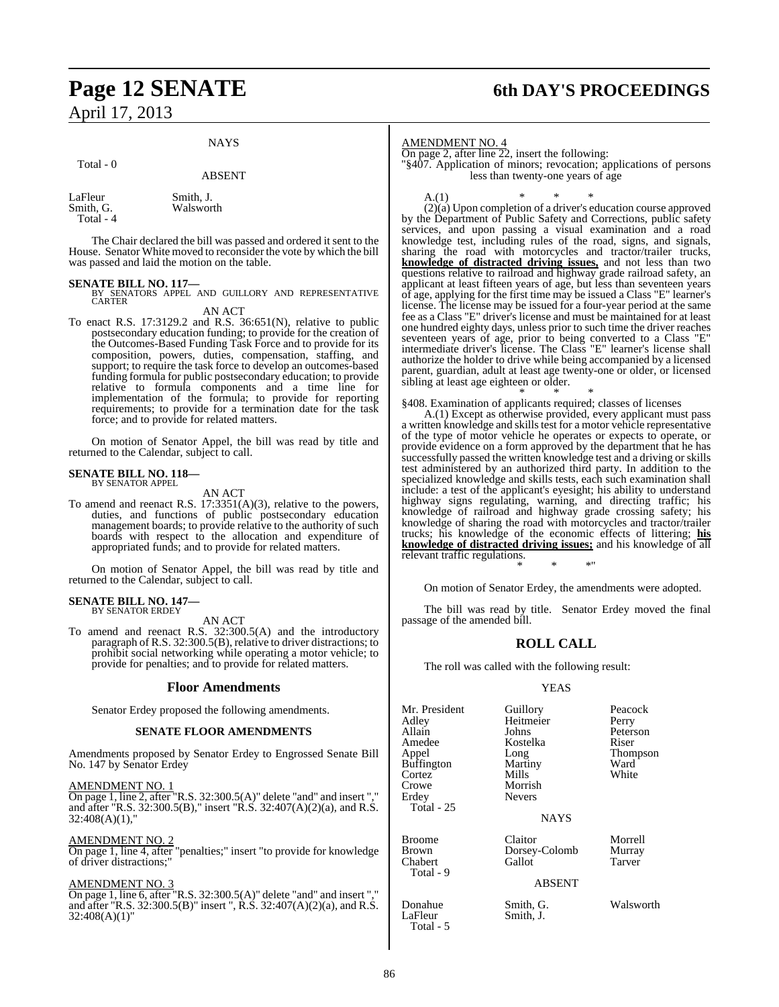## **Page 12 SENATE 6th DAY'S PROCEEDINGS** April 17, 2013

#### **NAYS**

#### Total - 0

ABSENT

LaFleur Smith, J.<br>Smith, G. Walswor Walsworth Total - 4

The Chair declared the bill was passed and ordered it sent to the House. Senator White moved to reconsider the vote by which the bill was passed and laid the motion on the table.

#### **SENATE BILL NO. 117—**

BY SENATORS APPEL AND GUILLORY AND REPRESENTATIVE CARTER

AN ACT

To enact R.S. 17:3129.2 and R.S. 36:651(N), relative to public postsecondary education funding; to provide for the creation of the Outcomes-Based Funding Task Force and to provide for its composition, powers, duties, compensation, staffing, and support; to require the task force to develop an outcomes-based funding formula for public postsecondary education; to provide relative to formula components and a time line for implementation of the formula; to provide for reporting requirements; to provide for a termination date for the task force; and to provide for related matters.

On motion of Senator Appel, the bill was read by title and returned to the Calendar, subject to call.

## **SENATE BILL NO. 118—** BY SENATOR APPEL

AN ACT

To amend and reenact R.S. 17:3351(A)(3), relative to the powers, duties, and functions of public postsecondary education management boards; to provide relative to the authority of such boards with respect to the allocation and expenditure of appropriated funds; and to provide for related matters.

On motion of Senator Appel, the bill was read by title and returned to the Calendar, subject to call.

#### **SENATE BILL NO. 147—** BY SENATOR ERDEY

AN ACT

To amend and reenact R.S. 32:300.5(A) and the introductory paragraph of R.S. 32:300.5(B), relative to driver distractions; to prohibit social networking while operating a motor vehicle; to provide for penalties; and to provide for related matters.

#### **Floor Amendments**

Senator Erdey proposed the following amendments.

#### **SENATE FLOOR AMENDMENTS**

Amendments proposed by Senator Erdey to Engrossed Senate Bill No. 147 by Senator Erdey

#### AMENDMENT NO. 1

On page 1, line 2, after "R.S. 32:300.5(A)" delete "and" and insert "," and after "R.S.  $32:300.5(B)$ ," insert "R.S.  $32:407(A)(2)(a)$ , and R.S. 32:408(A)(1),"

#### AMENDMENT NO. 2

On page 1, line 4, after "penalties;" insert "to provide for knowledge of driver distractions;"

#### AMENDMENT NO. 3

On page 1, line 6, after "R.S. 32:300.5(A)" delete "and" and insert "," and after "R.S. 32:300.5(B)" insert ", R.S. 32:407(A)(2)(a), and R.S. 32:408(A)(1)"

AMENDMENT NO. 4

On page 2, after line 22, insert the following:

"§407. Application of minors; revocation; applications of persons less than twenty-one years of age

A.(1) \* \* \*  $(2)(a)$  Upon completion of a driver's education course approved by the Department of Public Safety and Corrections, public safety services, and upon passing a visual examination and a road knowledge test, including rules of the road, signs, and signals, sharing the road with motorcycles and tractor/trailer trucks, **knowledge of distracted driving issues,** and not less than two questions relative to railroad and highway grade railroad safety, an applicant at least fifteen years of age, but less than seventeen years of age, applying for the first time may be issued a Class "E" learner's license. The license may be issued for a four-year period at the same fee as a Class "E" driver's license and must be maintained for at least one hundred eighty days, unless prior to such time the driver reaches seventeen years of age, prior to being converted to a Class "E" intermediate driver's license. The Class "E" learner's license shall authorize the holder to drive while being accompanied by a licensed parent, guardian, adult at least age twenty-one or older, or licensed sibling at least age eighteen or older.

\* \* \* §408. Examination of applicants required; classes of licenses

A.(1) Except as otherwise provided, every applicant must pass a written knowledge and skills test for a motor vehicle representative of the type of motor vehicle he operates or expects to operate, or provide evidence on a form approved by the department that he has successfully passed the written knowledge test and a driving or skills test administered by an authorized third party. In addition to the specialized knowledge and skills tests, each such examination shall include: a test of the applicant's eyesight; his ability to understand highway signs regulating, warning, and directing traffic; his knowledge of railroad and highway grade crossing safety; his knowledge of sharing the road with motorcycles and tractor/trailer trucks; his knowledge of the economic effects of littering; **his knowledge of distracted driving issues;** and his knowledge of all relevant traffic regulations.

\* \* \*"

On motion of Senator Erdey, the amendments were adopted.

The bill was read by title. Senator Erdey moved the final passage of the amended bill.

#### **ROLL CALL**

The roll was called with the following result:

#### YEAS

| Mr. President<br>Adlev<br>Allain<br>Amedee<br>Appel<br>Buffington<br>Cortez<br>Crowe<br>Erdey<br>Total - 25 | Guillory<br>Heitmeier<br>Johns<br>Kostelka<br>Long<br>Martiny<br>Mills<br>Morrish<br><b>Nevers</b><br><b>NAYS</b> | Peacock<br>Perry<br>Peterson<br>Riser<br><b>Thompson</b><br>Ward<br>White |
|-------------------------------------------------------------------------------------------------------------|-------------------------------------------------------------------------------------------------------------------|---------------------------------------------------------------------------|
| Broome<br>Brown<br>Chabert<br>Total - 9                                                                     | Claitor<br>Dorsey-Colomb<br>Gallot<br><b>ABSENT</b>                                                               | Morrell<br>Murray<br>Tarver                                               |

Donahue Smith, G. Walsworth<br>
LaFleur Smith, J. Smith, J.

Total - 5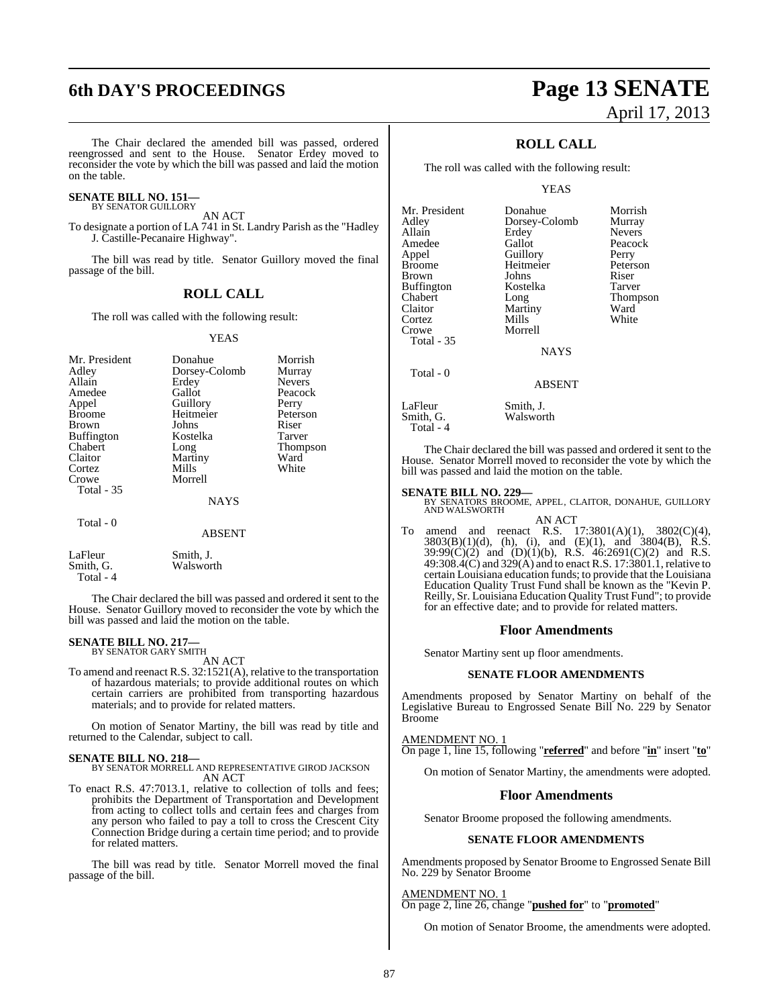The Chair declared the amended bill was passed, ordered reengrossed and sent to the House. Senator Erdey moved to reconsider the vote by which the bill was passed and laid the motion

#### **SENATE BILL NO. 151—** BY SENATOR GUILLORY

on the table.

AN ACT

To designate a portion of LA 741 in St. Landry Parish as the "Hadley J. Castille-Pecanaire Highway".

The bill was read by title. Senator Guillory moved the final passage of the bill.

### **ROLL CALL**

The roll was called with the following result:

#### YEAS

| Mr. President<br>Adley<br>Allain<br>Amedee<br>Appel<br><b>Broome</b><br><b>Brown</b><br><b>Buffington</b><br>Chabert<br>Claitor<br>Cortez<br>Crowe | Donahue<br>Dorsey-Colomb<br>Erdey<br>Gallot<br>Guillory<br>Heitmeier<br>Johns<br>Kostelka<br>Long<br>Martiny<br>Mills<br>Morrell | Morrish<br>Murray<br><b>Nevers</b><br>Peacock<br>Perry<br>Peterson<br>Riser<br>Tarver<br><b>Thompson</b><br>Ward<br>White |
|----------------------------------------------------------------------------------------------------------------------------------------------------|----------------------------------------------------------------------------------------------------------------------------------|---------------------------------------------------------------------------------------------------------------------------|
|                                                                                                                                                    |                                                                                                                                  |                                                                                                                           |
| <b>Total - 35</b>                                                                                                                                  | <b>NAYS</b>                                                                                                                      |                                                                                                                           |
| Total - 0                                                                                                                                          | <b>ABSENT</b>                                                                                                                    |                                                                                                                           |

| LaFleur   | Smith, J. |
|-----------|-----------|
| Smith, G. | Walsworth |
| Total - 4 |           |

The Chair declared the bill was passed and ordered it sent to the House. Senator Guillory moved to reconsider the vote by which the bill was passed and laid the motion on the table.

## **SENATE BILL NO. 217—** BY SENATOR GARY SMITH

AN ACT

To amend and reenact R.S. 32:1521(A), relative to the transportation of hazardous materials; to provide additional routes on which certain carriers are prohibited from transporting hazardous materials; and to provide for related matters.

On motion of Senator Martiny, the bill was read by title and returned to the Calendar, subject to call.

#### **SENATE BILL NO. 218—**

BY SENATOR MORRELL AND REPRESENTATIVE GIROD JACKSON AN ACT

To enact R.S. 47:7013.1, relative to collection of tolls and fees; prohibits the Department of Transportation and Development from acting to collect tolls and certain fees and charges from any person who failed to pay a toll to cross the Crescent City Connection Bridge during a certain time period; and to provide for related matters.

The bill was read by title. Senator Morrell moved the final passage of the bill.

## **6th DAY'S PROCEEDINGS Page 13 SENATE** April 17, 2013

## **ROLL CALL**

The roll was called with the following result:

YEAS

| Mr. President | Donahue       | Morri        |
|---------------|---------------|--------------|
| Adley         | Dorsey-Colomb | Murra        |
| Allain        | Erdey         | Never        |
| Amedee        | Gallot        | Peaco        |
| Appel         | Guillory      | Perry        |
| Broome        | Heitmeier     | Peters       |
| Brown         | Johns         | Riser        |
| Buffington    | Kostelka      | <b>Tarve</b> |
| Chabert       | Long          | Thom         |
| Claitor       | Martiny       | Ward         |
| Cortez        | Mills         | White        |
| Crowe         | Morrell       |              |
| Total - 35    |               |              |
|               | <b>NAYS</b>   |              |
| Total - 0     |               |              |
|               | <b>ABSENT</b> |              |
|               |               |              |

Donahue Morrish<br>Dorsey-Colomb Murray Erdey Nevers<br>Gallot Peacoc Peacock<br>Perry Guillory Perry<br>
Heitmeier Peterson Heitmeier Peters<br>Johns Riser Kostelka Tarver<br>Long Thomp Thompson<br>Ward Martiny Ward<br>
Mills White

#### ABSENT

LaFleur Smith, J.<br>Smith, G. Walswor Walsworth Total - 4

The Chair declared the bill was passed and ordered it sent to the House. Senator Morrell moved to reconsider the vote by which the bill was passed and laid the motion on the table.

**SENATE BILL NO. 229—**<br>BY SENATORS BROOME, APPEL, CLAITOR, DONAHUE, GUILLORY<br>AND WALSWORTH AN ACT

To amend and reenact R.S.  $17:3801(A)(1)$ ,  $3802(C)(4)$ ,  $3803(B)(1)(d)$ , (h), (i), and (E)(1), and  $3804(B)$ , R.S. 39:99(C)(2) and (D)(1)(b), R.S. 46:2691(C)(2) and R.S. 49:308.4(C) and 329(A) and to enact R.S. 17:3801.1, relative to certain Louisiana education funds; to provide that the Louisiana Education Quality Trust Fund shall be known as the "Kevin P. Reilly, Sr. Louisiana Education Quality Trust Fund"; to provide for an effective date; and to provide for related matters.

#### **Floor Amendments**

Senator Martiny sent up floor amendments.

#### **SENATE FLOOR AMENDMENTS**

Amendments proposed by Senator Martiny on behalf of the Legislative Bureau to Engrossed Senate Bill No. 229 by Senator Broome

AMENDMENT NO. 1

On page 1, line 15, following "**referred**" and before "**in**" insert "**to**"

On motion of Senator Martiny, the amendments were adopted.

#### **Floor Amendments**

Senator Broome proposed the following amendments.

#### **SENATE FLOOR AMENDMENTS**

Amendments proposed by Senator Broome to Engrossed Senate Bill No. 229 by Senator Broome

#### AMENDMENT NO. 1

On page 2, line 26, change "**pushed for**" to "**promoted**"

On motion of Senator Broome, the amendments were adopted.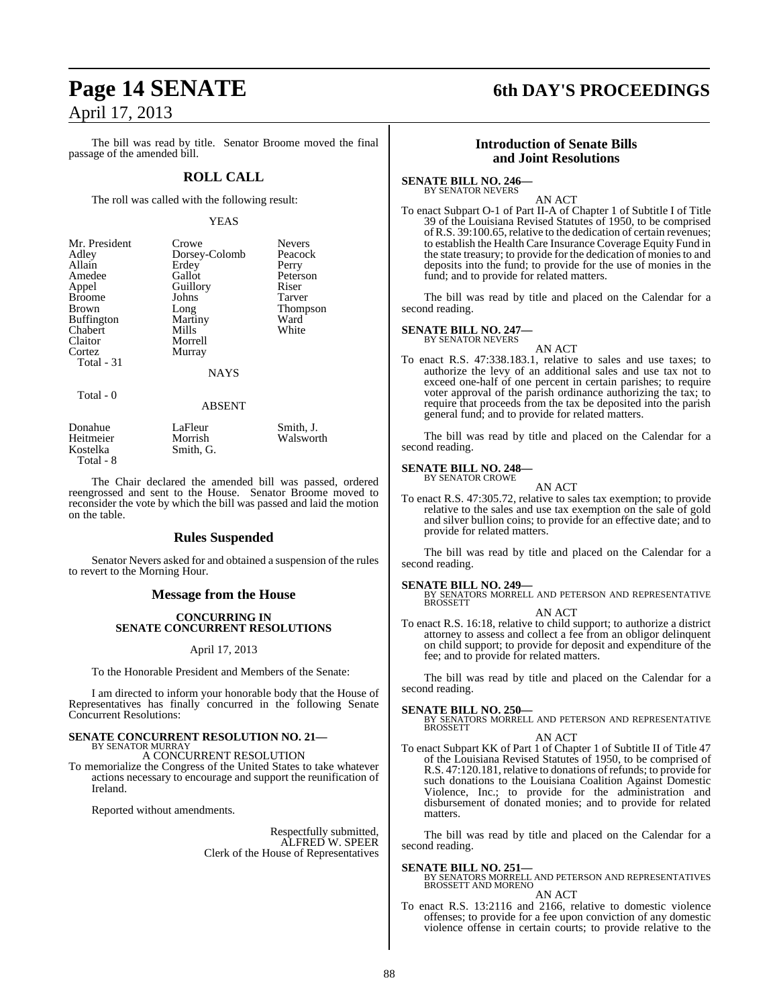The bill was read by title. Senator Broome moved the final passage of the amended bill.

## **ROLL CALL**

The roll was called with the following result:

#### YEAS

| Mr. President     | Crowe         | <b>Nevers</b> |
|-------------------|---------------|---------------|
| Adley             | Dorsey-Colomb | Peacock       |
| Allain            | Erdey         | Perry         |
| Amedee            | Gallot        | Peterson      |
| Appel             | Guillory      | Riser         |
| <b>Broome</b>     | Johns         | Tarver        |
| <b>Brown</b>      | Long          | Thompson      |
| <b>Buffington</b> | Martiny       | Ward          |
| Chabert           | Mills         | White         |
| Claitor           | Morrell       |               |
| Cortez            | Murray        |               |
| Total - 31        |               |               |
|                   | NAYS          |               |

Total - 0

#### ABSENT

| Donahue   | LaFleur   | Smith, J. |
|-----------|-----------|-----------|
| Heitmeier | Morrish   | Walsworth |
| Kostelka  | Smith, G. |           |
| Total - 8 |           |           |

The Chair declared the amended bill was passed, ordered reengrossed and sent to the House. Senator Broome moved to reconsider the vote by which the bill was passed and laid the motion on the table.

### **Rules Suspended**

Senator Nevers asked for and obtained a suspension of the rules to revert to the Morning Hour.

### **Message from the House**

#### **CONCURRING IN SENATE CONCURRENT RESOLUTIONS**

#### April 17, 2013

To the Honorable President and Members of the Senate:

I am directed to inform your honorable body that the House of Representatives has finally concurred in the following Senate Concurrent Resolutions:

#### **SENATE CONCURRENT RESOLUTION NO. 21—** BY SENATOR MURRAY

A CONCURRENT RESOLUTION

To memorialize the Congress of the United States to take whatever actions necessary to encourage and support the reunification of Ireland.

Reported without amendments.

Respectfully submitted, ALFRED W. SPEER Clerk of the House of Representatives

# **Page 14 SENATE 6th DAY'S PROCEEDINGS**

### **Introduction of Senate Bills and Joint Resolutions**

#### **SENATE BILL NO. 246—**

BY SENATOR NEVERS AN ACT

To enact Subpart O-1 of Part II-A of Chapter 1 of Subtitle I of Title 39 of the Louisiana Revised Statutes of 1950, to be comprised ofR.S. 39:100.65, relative to the dedication of certain revenues; to establish the Health Care Insurance Coverage Equity Fund in the state treasury; to provide for the dedication of moniesto and deposits into the fund; to provide for the use of monies in the fund; and to provide for related matters.

The bill was read by title and placed on the Calendar for a second reading.

# **SENATE BILL NO. 247—** BY SENATOR NEVERS

AN ACT To enact R.S. 47:338.183.1, relative to sales and use taxes; to authorize the levy of an additional sales and use tax not to exceed one-half of one percent in certain parishes; to require voter approval of the parish ordinance authorizing the tax; to require that proceeds from the tax be deposited into the parish general fund; and to provide for related matters.

The bill was read by title and placed on the Calendar for a second reading.

#### **SENATE BILL NO. 248—** BY SENATOR CROWE

AN ACT

To enact R.S. 47:305.72, relative to sales tax exemption; to provide relative to the sales and use tax exemption on the sale of gold and silver bullion coins; to provide for an effective date; and to provide for related matters.

The bill was read by title and placed on the Calendar for a second reading.

**SENATE BILL NO. 249—** BY SENATORS MORRELL AND PETERSON AND REPRESENTATIVE BROSSETT

AN ACT

To enact R.S. 16:18, relative to child support; to authorize a district attorney to assess and collect a fee from an obligor delinquent on child support; to provide for deposit and expenditure of the fee; and to provide for related matters.

The bill was read by title and placed on the Calendar for a second reading.

**SENATE BILL NO. 250—**<br>BY SENATORS MORRELL AND PETERSON AND REPRESENTATIVE<br>BROSSETT

#### AN ACT

To enact Subpart KK of Part 1 of Chapter 1 of Subtitle II of Title 47 of the Louisiana Revised Statutes of 1950, to be comprised of R.S. 47:120.181, relative to donations of refunds; to provide for such donations to the Louisiana Coalition Against Domestic Violence, Inc.; to provide for the administration and disbursement of donated monies; and to provide for related matters.

The bill was read by title and placed on the Calendar for a second reading.

**SENATE BILL NO. 251—** BY SENATORS MORRELL AND PETERSON AND REPRESENTATIVES BROSSETT AND MORENO

AN ACT

To enact R.S. 13:2116 and 2166, relative to domestic violence offenses; to provide for a fee upon conviction of any domestic violence offense in certain courts; to provide relative to the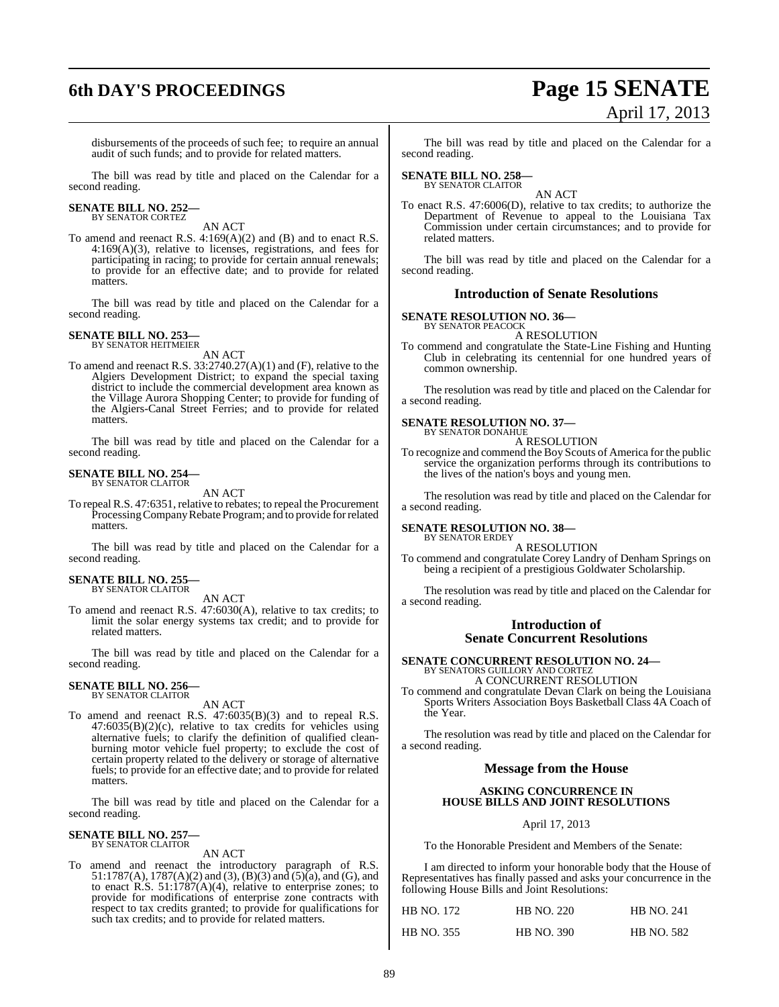# **6th DAY'S PROCEEDINGS Page 15 SENATE**

# April 17, 2013

disbursements of the proceeds of such fee; to require an annual audit of such funds; and to provide for related matters.

The bill was read by title and placed on the Calendar for a second reading.

#### **SENATE BILL NO. 252—** BY SENATOR CORTEZ

AN ACT

To amend and reenact R.S. 4:169(A)(2) and (B) and to enact R.S. 4:169(A)(3), relative to licenses, registrations, and fees for participating in racing; to provide for certain annual renewals; to provide for an effective date; and to provide for related matters.

The bill was read by title and placed on the Calendar for a second reading.

#### **SENATE BILL NO. 253—** BY SENATOR HEITMEIER

AN ACT

To amend and reenact R.S. 33:2740.27(A)(1) and (F), relative to the Algiers Development District; to expand the special taxing district to include the commercial development area known as the Village Aurora Shopping Center; to provide for funding of the Algiers-Canal Street Ferries; and to provide for related matters.

The bill was read by title and placed on the Calendar for a second reading.

## **SENATE BILL NO. 254—** BY SENATOR CLAITOR

AN ACT

To repeal R.S. 47:6351, relative to rebates; to repeal the Procurement Processing Company Rebate Program; and to provide for related matters.

The bill was read by title and placed on the Calendar for a second reading.

#### **SENATE BILL NO. 255—** BY SENATOR CLAITOR

AN ACT

To amend and reenact R.S. 47:6030(A), relative to tax credits; to limit the solar energy systems tax credit; and to provide for related matters.

The bill was read by title and placed on the Calendar for a second reading.

#### **SENATE BILL NO. 256—** BY SENATOR CLAITOR

AN ACT

To amend and reenact R.S. 47:6035(B)(3) and to repeal R.S. 47:6035(B)(2)(c), relative to tax credits for vehicles using alternative fuels; to clarify the definition of qualified cleanburning motor vehicle fuel property; to exclude the cost of certain property related to the delivery or storage of alternative fuels; to provide for an effective date; and to provide for related matters.

The bill was read by title and placed on the Calendar for a second reading.

#### **SENATE BILL NO. 257—** BY SENATOR CLAITOR

#### AN ACT

To amend and reenact the introductory paragraph of R.S. 51:1787(A), 1787(A)(2) and (3), (B)(3) and (5)(a), and (G), and to enact R.S.  $51:1787(A)(4)$ , relative to enterprise zones; to provide for modifications of enterprise zone contracts with respect to tax credits granted; to provide for qualifications for such tax credits; and to provide for related matters.

The bill was read by title and placed on the Calendar for a second reading.

## **SENATE BILL NO. 258—** BY SENATOR CLAITOR

AN ACT To enact R.S. 47:6006(D), relative to tax credits; to authorize the Department of Revenue to appeal to the Louisiana Tax Commission under certain circumstances; and to provide for related matters.

The bill was read by title and placed on the Calendar for a second reading.

#### **Introduction of Senate Resolutions**

**SENATE RESOLUTION NO. 36—** BY SENATOR PEACOCK

A RESOLUTION

To commend and congratulate the State-Line Fishing and Hunting Club in celebrating its centennial for one hundred years of common ownership.

The resolution was read by title and placed on the Calendar for a second reading.

#### **SENATE RESOLUTION NO. 37—** BY SENATOR DONAHUE

A RESOLUTION

To recognize and commend the Boy Scouts of America for the public service the organization performs through its contributions to the lives of the nation's boys and young men.

The resolution was read by title and placed on the Calendar for a second reading.

#### **SENATE RESOLUTION NO. 38—** BY SENATOR ERDEY

#### A RESOLUTION

To commend and congratulate Corey Landry of Denham Springs on being a recipient of a prestigious Goldwater Scholarship.

The resolution was read by title and placed on the Calendar for a second reading.

#### **Introduction of Senate Concurrent Resolutions**

# **SENATE CONCURRENT RESOLUTION NO. 24—** BY SENATORS GUILLORY AND CORTEZ

A CONCURRENT RESOLUTION To commend and congratulate Devan Clark on being the Louisiana Sports Writers Association Boys Basketball Class 4A Coach of the Year.

The resolution was read by title and placed on the Calendar for a second reading.

### **Message from the House**

#### **ASKING CONCURRENCE IN HOUSE BILLS AND JOINT RESOLUTIONS**

April 17, 2013

To the Honorable President and Members of the Senate:

I am directed to inform your honorable body that the House of Representatives has finally passed and asks your concurrence in the following House Bills and Joint Resolutions:

| <b>HB NO. 172</b> | <b>HB NO. 220</b> | <b>HB NO. 241</b> |
|-------------------|-------------------|-------------------|
| <b>HB NO. 355</b> | <b>HB NO. 390</b> | <b>HB NO. 582</b> |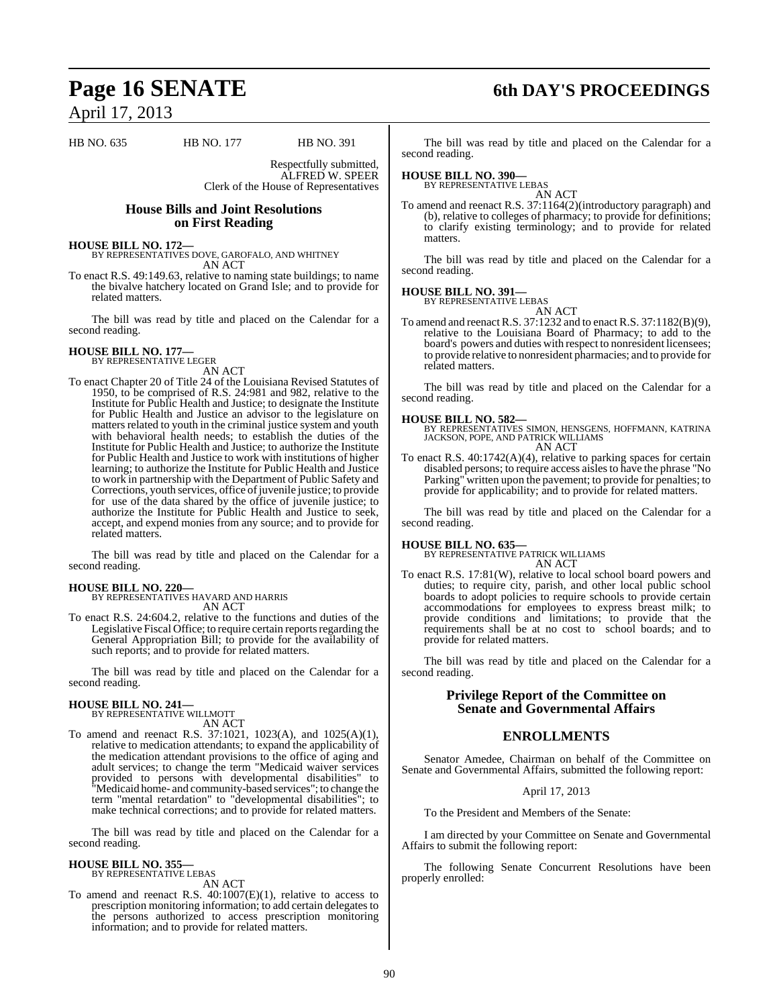HB NO. 635 HB NO. 177 HB NO. 391

Respectfully submitted, ALFRED W. SPEER Clerk of the House of Representatives

### **House Bills and Joint Resolutions on First Reading**

**HOUSE BILL NO. 172—** BY REPRESENTATIVES DOVE, GAROFALO, AND WHITNEY AN ACT

To enact R.S. 49:149.63, relative to naming state buildings; to name the bivalve hatchery located on Grand Isle; and to provide for related matters.

The bill was read by title and placed on the Calendar for a second reading.

#### **HOUSE BILL NO. 177—** BY REPRESENTATIVE LEGER

AN ACT

To enact Chapter 20 of Title 24 of the Louisiana Revised Statutes of 1950, to be comprised of R.S. 24:981 and 982, relative to the Institute for Public Health and Justice; to designate the Institute for Public Health and Justice an advisor to the legislature on matters related to youth in the criminal justice system and youth with behavioral health needs; to establish the duties of the Institute for Public Health and Justice; to authorize the Institute for Public Health and Justice to work with institutions of higher learning; to authorize the Institute for Public Health and Justice to work in partnership with the Department of Public Safety and Corrections, youth services, office of juvenile justice; to provide for use of the data shared by the office of juvenile justice; to authorize the Institute for Public Health and Justice to seek, accept, and expend monies from any source; and to provide for related matters.

The bill was read by title and placed on the Calendar for a second reading.

## **HOUSE BILL NO. 220—**

BY REPRESENTATIVES HAVARD AND HARRIS AN ACT

To enact R.S. 24:604.2, relative to the functions and duties of the Legislative Fiscal Office; to require certain reports regarding the General Appropriation Bill; to provide for the availability of such reports; and to provide for related matters.

The bill was read by title and placed on the Calendar for a second reading.

#### **HOUSE BILL NO. 241—** BY REPRESENTATIVE WILLMOTT

AN ACT

To amend and reenact R.S. 37:1021, 1023(A), and 1025(A)(1), relative to medication attendants; to expand the applicability of the medication attendant provisions to the office of aging and adult services; to change the term "Medicaid waiver services provided to persons with developmental disabilities" to "Medicaid home- and community-based services"; to change the term "mental retardation" to "developmental disabilities"; to make technical corrections; and to provide for related matters.

The bill was read by title and placed on the Calendar for a second reading.

#### **HOUSE BILL NO. 355—** BY REPRESENTATIVE LEBAS

AN ACT

To amend and reenact R.S. 40:1007(E)(1), relative to access to prescription monitoring information; to add certain delegates to the persons authorized to access prescription monitoring information; and to provide for related matters.

## **Page 16 SENATE 6th DAY'S PROCEEDINGS**

The bill was read by title and placed on the Calendar for a second reading.

## **HOUSE BILL NO. 390—** BY REPRESENTATIVE LEBAS

AN ACT To amend and reenact R.S. 37:1164(2)(introductory paragraph) and (b), relative to colleges of pharmacy; to provide for definitions; to clarify existing terminology; and to provide for related matters.

The bill was read by title and placed on the Calendar for a second reading.

#### **HOUSE BILL NO. 391—** BY REPRESENTATIVE LEBAS

AN ACT

To amend and reenact R.S. 37:1232 and to enact R.S. 37:1182(B)(9), relative to the Louisiana Board of Pharmacy; to add to the board's powers and duties with respect to nonresident licensees; to provide relative to nonresident pharmacies; and to provide for related matters.

The bill was read by title and placed on the Calendar for a second reading.

**HOUSE BILL NO. 582—** BY REPRESENTATIVES SIMON, HENSGENS, HOFFMANN, KATRINA JACKSON, POPE, AND PATRICK WILLIAMS AN ACT

To enact R.S. 40:1742(A)(4), relative to parking spaces for certain disabled persons; to require access aislesto have the phrase "No Parking" written upon the pavement; to provide for penalties; to provide for applicability; and to provide for related matters.

The bill was read by title and placed on the Calendar for a second reading.

## **HOUSE BILL NO. 635—** BY REPRESENTATIVE PATRICK WILLIAMS

AN ACT

To enact R.S. 17:81(W), relative to local school board powers and duties; to require city, parish, and other local public school boards to adopt policies to require schools to provide certain accommodations for employees to express breast milk; to provide conditions and limitations; to provide that the requirements shall be at no cost to school boards; and to provide for related matters.

The bill was read by title and placed on the Calendar for a second reading.

### **Privilege Report of the Committee on Senate and Governmental Affairs**

### **ENROLLMENTS**

Senator Amedee, Chairman on behalf of the Committee on Senate and Governmental Affairs, submitted the following report:

#### April 17, 2013

To the President and Members of the Senate:

I am directed by your Committee on Senate and Governmental Affairs to submit the following report:

The following Senate Concurrent Resolutions have been properly enrolled: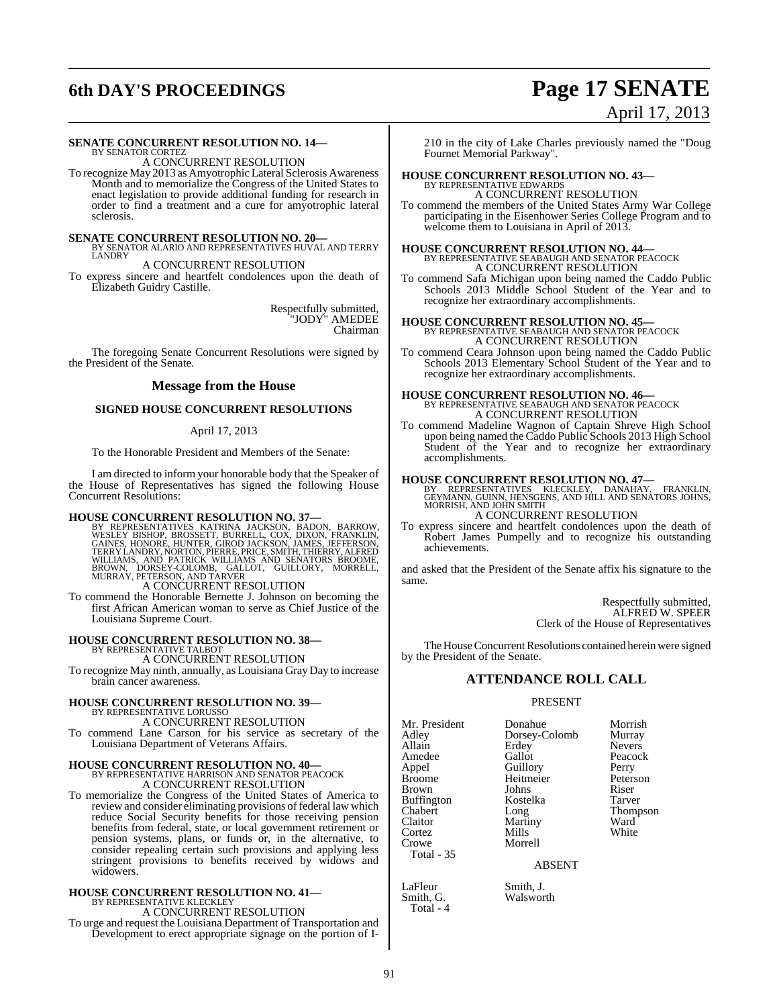# **6th DAY'S PROCEEDINGS Page 17 SENATE**

# April 17, 2013

#### **SENATE CONCURRENT RESOLUTION NO. 14—**

BY SENATOR CORTEZ A CONCURRENT RESOLUTION

To recognize May 2013 as Amyotrophic Lateral Sclerosis Awareness Month and to memorialize the Congress of the United States to enact legislation to provide additional funding for research in order to find a treatment and a cure for amyotrophic lateral sclerosis.

**SENATE CONCURRENT RESOLUTION NO. 20—BY SENATOR ALARIO AND REPRESENTATIVES HUVAL AND TERRY LANDRY** 

A CONCURRENT RESOLUTION

To express sincere and heartfelt condolences upon the death of Elizabeth Guidry Castille.

> Respectfully submitted, "JODY" AMEDEE Chairman

The foregoing Senate Concurrent Resolutions were signed by the President of the Senate.

#### **Message from the House**

#### **SIGNED HOUSE CONCURRENT RESOLUTIONS**

#### April 17, 2013

To the Honorable President and Members of the Senate:

I am directed to inform your honorable body that the Speaker of the House of Representatives has signed the following House Concurrent Resolutions:

**HOUSE CONCURRENT RESOLUTION NO. 37—**<br>BY REPRESENTATIVES KATRINA JACKSON, BARROW, WESLEY BISHOP, BROSSETT, BURRELL, COX, DIXON, FRANKLIN,<br>GAINES, HONORE, HUNTER, GIROD JACKSON, JAMES, JEFFERSON,<br>TERRY LANDRY, NORTON, PIERR

To commend the Honorable Bernette J. Johnson on becoming the first African American woman to serve as Chief Justice of the Louisiana Supreme Court.

#### **HOUSE CONCURRENT RESOLUTION NO. 38—** BY REPRESENTATIVE TALBOT

A CONCURRENT RESOLUTION

To recognize May ninth, annually, as Louisiana Gray Day to increase brain cancer awareness.

# **HOUSE CONCURRENT RESOLUTION NO. 39—** BY REPRESENTATIVE LORUSSO

A CONCURRENT RESOLUTION

To commend Lane Carson for his service as secretary of the Louisiana Department of Veterans Affairs.

## **HOUSE CONCURRENT RESOLUTION NO. 40—** BY REPRESENTATIVE HARRISON AND SENATOR PEACOCK A CONCURRENT RESOLUTION

To memorialize the Congress of the United States of America to review and consider eliminating provisions of federal law which reduce Social Security benefits for those receiving pension benefits from federal, state, or local government retirement or pension systems, plans, or funds or, in the alternative, to consider repealing certain such provisions and applying less stringent provisions to benefits received by widows and widowers.

## **HOUSE CONCURRENT RESOLUTION NO. 41—** BY REPRESENTATIVE KLECKLEY A CONCURRENT RESOLUTION

To urge and request the Louisiana Department of Transportation and Development to erect appropriate signage on the portion of I-

210 in the city of Lake Charles previously named the "Doug Fournet Memorial Parkway".

## **HOUSE CONCURRENT RESOLUTION NO. 43—** BY REPRESENTATIVE EDWARDS

A CONCURRENT RESOLUTION

To commend the members of the United States Army War College participating in the Eisenhower Series College Program and to welcome them to Louisiana in April of 2013.

## **HOUSE CONCURRENT RESOLUTION NO. 44—** BY REPRESENTATIVE SEABAUGH AND SENATOR PEACOCK A CONCURRENT RESOLUTION

To commend Safa Michigan upon being named the Caddo Public Schools 2013 Middle School Student of the Year and to recognize her extraordinary accomplishments.

#### **HOUSE CONCURRENT RESOLUTION NO. 45—**

BY REPRESENTATIVE SEABAUGH AND SENATOR PEACOCK A CONCURRENT RESOLUTION

To commend Ceara Johnson upon being named the Caddo Public Schools 2013 Elementary School Student of the Year and to recognize her extraordinary accomplishments.

# **HOUSE CONCURRENT RESOLUTION NO. 46—** BY REPRESENTATIVE SEABAUGH AND SENATOR PEACOCK A CONCURRENT RESOLUTION

To commend Madeline Wagnon of Captain Shreve High School upon being named the Caddo Public Schools 2013 High School Student of the Year and to recognize her extraordinary accomplishments.

**HOUSE CONCURRENT RESOLUTION NO. 47—**<br>BY REPRESENTATIVES KLECKLEY, DANAHAY, FRANKLIN,<br>GEYMANN, GUINN, HENSGENS, AND HILL AND SENATORS JOHNS,<br>MORRISH, AND JOHN SMITH A CONCURRENT RESOLUTION

To express sincere and heartfelt condolences upon the death of Robert James Pumpelly and to recognize his outstanding achievements.

and asked that the President of the Senate affix his signature to the same.

> Respectfully submitted, ALFRED W. SPEER Clerk of the House of Representatives

The House Concurrent Resolutions contained herein were signed by the President of the Senate.

#### **ATTENDANCE ROLL CALL**

#### PRESENT

Mr. President Donahue Morrish<br>Adley Dorsey-Colomb Murray Adley Dorsey-Colomb<br>Allain Erdev Allain Erdey Nevers<br>
Amedee Gallot Peacocl Amedee Gallot Peacock<br>
Appel Guillory Perry Appel Guillory Perry Brown Johns Riser<br>Buffington Kostelka Tarver Buffington Koste<br>Chabert Long Chabert Long Thompson Cortez Crowe Morrell Total - 35

Total - 4

Heitmeier Peters<br>Johns Riser Martiny Ward<br>
Mills White

ABSENT

LaFleur Smith, J.<br>Smith, G. Walswor Walsworth